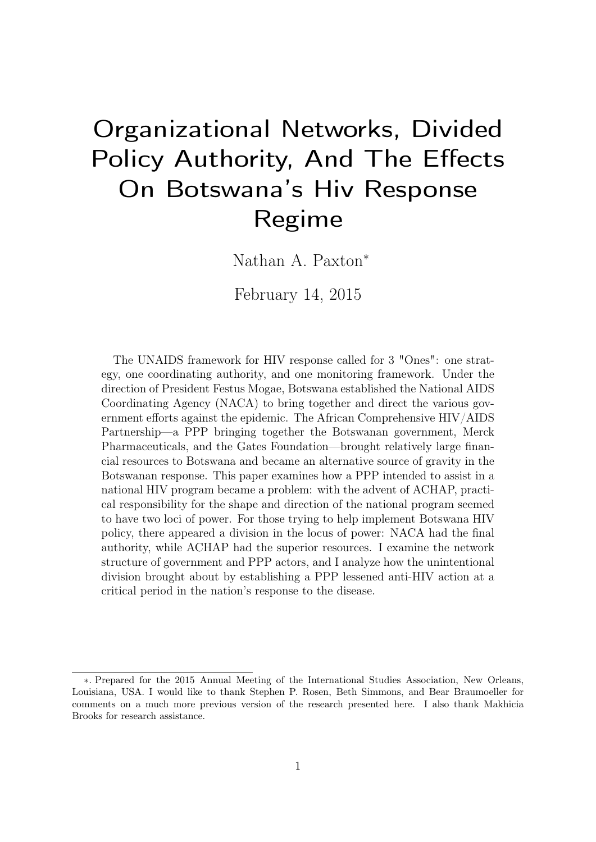# Organizational Networks, Divided Policy Authority, And The Effects On Botswana's Hiv Response Regime

Nathan A. Paxton<sup>∗</sup>

February 14, 2015

The UNAIDS framework for HIV response called for 3 "Ones": one strategy, one coordinating authority, and one monitoring framework. Under the direction of President Festus Mogae, Botswana established the National AIDS Coordinating Agency (NACA) to bring together and direct the various government efforts against the epidemic. The African Comprehensive HIV/AIDS Partnership—a PPP bringing together the Botswanan government, Merck Pharmaceuticals, and the Gates Foundation—brought relatively large financial resources to Botswana and became an alternative source of gravity in the Botswanan response. This paper examines how a PPP intended to assist in a national HIV program became a problem: with the advent of ACHAP, practical responsibility for the shape and direction of the national program seemed to have two loci of power. For those trying to help implement Botswana HIV policy, there appeared a division in the locus of power: NACA had the final authority, while ACHAP had the superior resources. I examine the network structure of government and PPP actors, and I analyze how the unintentional division brought about by establishing a PPP lessened anti-HIV action at a critical period in the nation's response to the disease.

<sup>∗</sup>. Prepared for the 2015 Annual Meeting of the International Studies Association, New Orleans, Louisiana, USA. I would like to thank Stephen P. Rosen, Beth Simmons, and Bear Braumoeller for comments on a much more previous version of the research presented here. I also thank Makhicia Brooks for research assistance.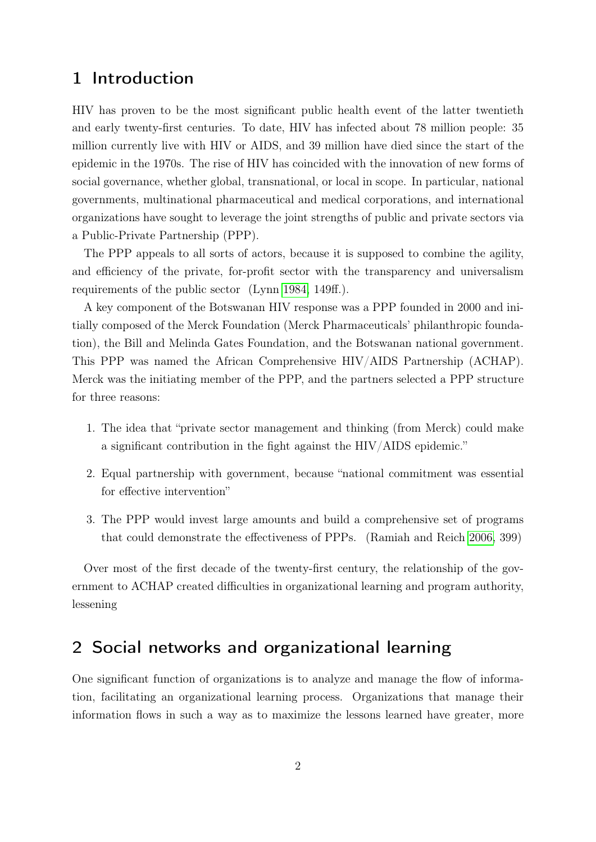## 1 Introduction

HIV has proven to be the most significant public health event of the latter twentieth and early twenty-first centuries. To date, HIV has infected about 78 million people: 35 million currently live with HIV or AIDS, and 39 million have died since the start of the epidemic in the 1970s. The rise of HIV has coincided with the innovation of new forms of social governance, whether global, transnational, or local in scope. In particular, national governments, multinational pharmaceutical and medical corporations, and international organizations have sought to leverage the joint strengths of public and private sectors via a Public-Private Partnership (PPP).

The PPP appeals to all sorts of actors, because it is supposed to combine the agility, and efficiency of the private, for-profit sector with the transparency and universalism requirements of the public sector (Lynn [1984,](#page-30-0) 149ff.).

A key component of the Botswanan HIV response was a PPP founded in 2000 and initially composed of the Merck Foundation (Merck Pharmaceuticals' philanthropic foundation), the Bill and Melinda Gates Foundation, and the Botswanan national government. This PPP was named the African Comprehensive HIV/AIDS Partnership (ACHAP). Merck was the initiating member of the PPP, and the partners selected a PPP structure for three reasons:

- 1. The idea that "private sector management and thinking (from Merck) could make a significant contribution in the fight against the HIV/AIDS epidemic."
- 2. Equal partnership with government, because "national commitment was essential for effective intervention"
- 3. The PPP would invest large amounts and build a comprehensive set of programs that could demonstrate the effectiveness of PPPs. (Ramiah and Reich [2006,](#page-30-1) 399)

Over most of the first decade of the twenty-first century, the relationship of the government to ACHAP created difficulties in organizational learning and program authority, lessening

## 2 Social networks and organizational learning

One significant function of organizations is to analyze and manage the flow of information, facilitating an organizational learning process. Organizations that manage their information flows in such a way as to maximize the lessons learned have greater, more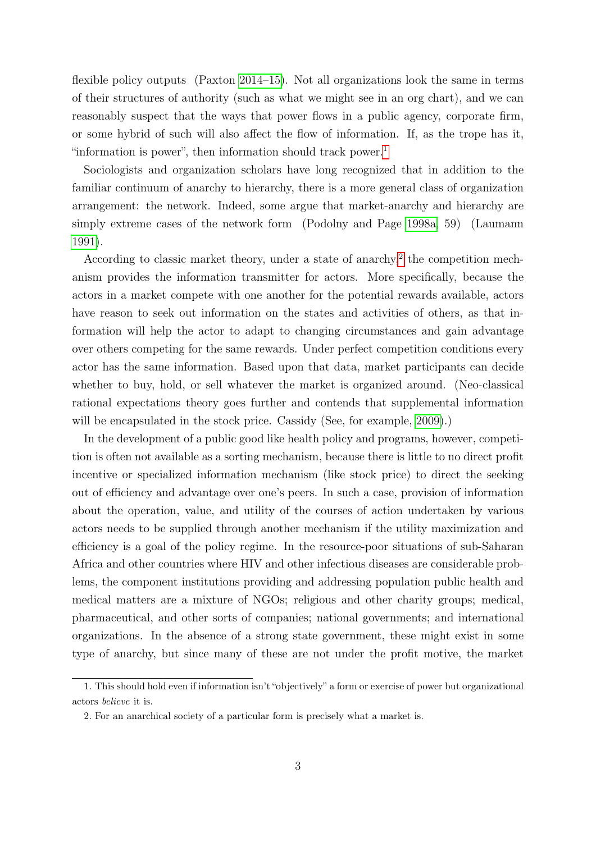flexible policy outputs (Paxton [2014–15\)](#page-30-2). Not all organizations look the same in terms of their structures of authority (such as what we might see in an org chart), and we can reasonably suspect that the ways that power flows in a public agency, corporate firm, or some hybrid of such will also affect the flow of information. If, as the trope has it, "information is power", then information should track power. $<sup>1</sup>$  $<sup>1</sup>$  $<sup>1</sup>$ </sup>

Sociologists and organization scholars have long recognized that in addition to the familiar continuum of anarchy to hierarchy, there is a more general class of organization arrangement: the network. Indeed, some argue that market-anarchy and hierarchy are simply extreme cases of the network form (Podolny and Page [1998a,](#page-30-3) 59) (Laumann [1991\)](#page-30-4).

According to classic market theory, under a state of anarchy, $2$  the competition mechanism provides the information transmitter for actors. More specifically, because the actors in a market compete with one another for the potential rewards available, actors have reason to seek out information on the states and activities of others, as that information will help the actor to adapt to changing circumstances and gain advantage over others competing for the same rewards. Under perfect competition conditions every actor has the same information. Based upon that data, market participants can decide whether to buy, hold, or sell whatever the market is organized around. (Neo-classical rational expectations theory goes further and contends that supplemental information will be encapsulated in the stock price. Cassidy (See, for example, [2009\)](#page-29-0).)

In the development of a public good like health policy and programs, however, competition is often not available as a sorting mechanism, because there is little to no direct profit incentive or specialized information mechanism (like stock price) to direct the seeking out of efficiency and advantage over one's peers. In such a case, provision of information about the operation, value, and utility of the courses of action undertaken by various actors needs to be supplied through another mechanism if the utility maximization and efficiency is a goal of the policy regime. In the resource-poor situations of sub-Saharan Africa and other countries where HIV and other infectious diseases are considerable problems, the component institutions providing and addressing population public health and medical matters are a mixture of NGOs; religious and other charity groups; medical, pharmaceutical, and other sorts of companies; national governments; and international organizations. In the absence of a strong state government, these might exist in some type of anarchy, but since many of these are not under the profit motive, the market

<span id="page-2-0"></span><sup>1.</sup> This should hold even if information isn't "objectively" a form or exercise of power but organizational actors believe it is.

<span id="page-2-1"></span><sup>2.</sup> For an anarchical society of a particular form is precisely what a market is.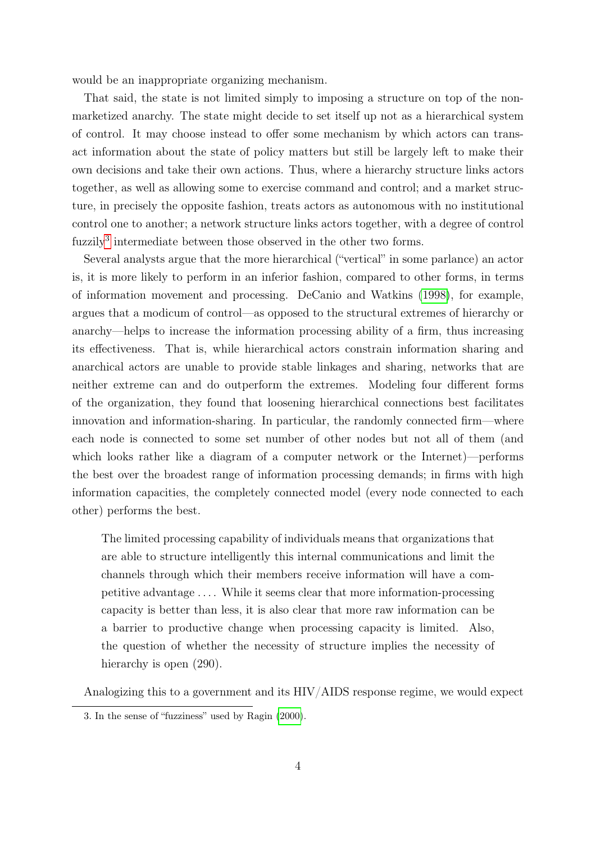would be an inappropriate organizing mechanism.

That said, the state is not limited simply to imposing a structure on top of the nonmarketized anarchy. The state might decide to set itself up not as a hierarchical system of control. It may choose instead to offer some mechanism by which actors can transact information about the state of policy matters but still be largely left to make their own decisions and take their own actions. Thus, where a hierarchy structure links actors together, as well as allowing some to exercise command and control; and a market structure, in precisely the opposite fashion, treats actors as autonomous with no institutional control one to another; a network structure links actors together, with a degree of control fuzzily<sup>[3](#page-3-0)</sup> intermediate between those observed in the other two forms.

Several analysts argue that the more hierarchical ("vertical" in some parlance) an actor is, it is more likely to perform in an inferior fashion, compared to other forms, in terms of information movement and processing. DeCanio and Watkins [\(1998\)](#page-29-1), for example, argues that a modicum of control—as opposed to the structural extremes of hierarchy or anarchy—helps to increase the information processing ability of a firm, thus increasing its effectiveness. That is, while hierarchical actors constrain information sharing and anarchical actors are unable to provide stable linkages and sharing, networks that are neither extreme can and do outperform the extremes. Modeling four different forms of the organization, they found that loosening hierarchical connections best facilitates innovation and information-sharing. In particular, the randomly connected firm—where each node is connected to some set number of other nodes but not all of them (and which looks rather like a diagram of a computer network or the Internet)—performs the best over the broadest range of information processing demands; in firms with high information capacities, the completely connected model (every node connected to each other) performs the best.

The limited processing capability of individuals means that organizations that are able to structure intelligently this internal communications and limit the channels through which their members receive information will have a competitive advantage . . . . While it seems clear that more information-processing capacity is better than less, it is also clear that more raw information can be a barrier to productive change when processing capacity is limited. Also, the question of whether the necessity of structure implies the necessity of hierarchy is open  $(290)$ .

Analogizing this to a government and its HIV/AIDS response regime, we would expect

<span id="page-3-0"></span><sup>3.</sup> In the sense of "fuzziness" used by Ragin [\(2000\)](#page-30-5).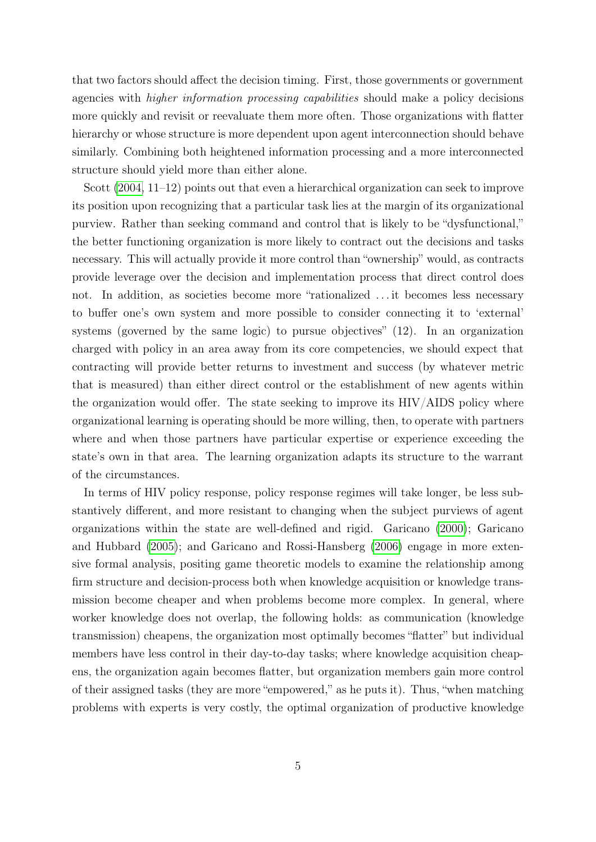that two factors should affect the decision timing. First, those governments or government agencies with higher information processing capabilities should make a policy decisions more quickly and revisit or reevaluate them more often. Those organizations with flatter hierarchy or whose structure is more dependent upon agent interconnection should behave similarly. Combining both heightened information processing and a more interconnected structure should yield more than either alone.

Scott [\(2004,](#page-31-0) 11–12) points out that even a hierarchical organization can seek to improve its position upon recognizing that a particular task lies at the margin of its organizational purview. Rather than seeking command and control that is likely to be "dysfunctional," the better functioning organization is more likely to contract out the decisions and tasks necessary. This will actually provide it more control than "ownership" would, as contracts provide leverage over the decision and implementation process that direct control does not. In addition, as societies become more "rationalized . . . it becomes less necessary to buffer one's own system and more possible to consider connecting it to 'external' systems (governed by the same logic) to pursue objectives" (12). In an organization charged with policy in an area away from its core competencies, we should expect that contracting will provide better returns to investment and success (by whatever metric that is measured) than either direct control or the establishment of new agents within the organization would offer. The state seeking to improve its HIV/AIDS policy where organizational learning is operating should be more willing, then, to operate with partners where and when those partners have particular expertise or experience exceeding the state's own in that area. The learning organization adapts its structure to the warrant of the circumstances.

In terms of HIV policy response, policy response regimes will take longer, be less substantively different, and more resistant to changing when the subject purviews of agent organizations within the state are well-defined and rigid. Garicano [\(2000\)](#page-29-2); Garicano and Hubbard [\(2005\)](#page-29-3); and Garicano and Rossi-Hansberg [\(2006\)](#page-29-4) engage in more extensive formal analysis, positing game theoretic models to examine the relationship among firm structure and decision-process both when knowledge acquisition or knowledge transmission become cheaper and when problems become more complex. In general, where worker knowledge does not overlap, the following holds: as communication (knowledge transmission) cheapens, the organization most optimally becomes "flatter" but individual members have less control in their day-to-day tasks; where knowledge acquisition cheapens, the organization again becomes flatter, but organization members gain more control of their assigned tasks (they are more "empowered," as he puts it). Thus, "when matching problems with experts is very costly, the optimal organization of productive knowledge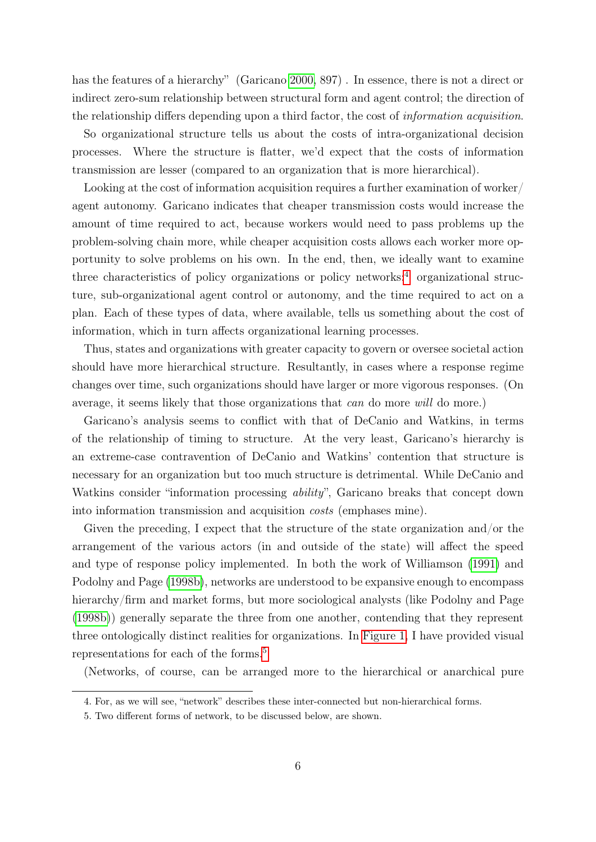has the features of a hierarchy" (Garicano [2000,](#page-29-2) 897). In essence, there is not a direct or indirect zero-sum relationship between structural form and agent control; the direction of the relationship differs depending upon a third factor, the cost of information acquisition.

So organizational structure tells us about the costs of intra-organizational decision processes. Where the structure is flatter, we'd expect that the costs of information transmission are lesser (compared to an organization that is more hierarchical).

Looking at the cost of information acquisition requires a further examination of worker/ agent autonomy. Garicano indicates that cheaper transmission costs would increase the amount of time required to act, because workers would need to pass problems up the problem-solving chain more, while cheaper acquisition costs allows each worker more opportunity to solve problems on his own. In the end, then, we ideally want to examine three characteristics of policy organizations or policy networks: $4$  organizational structure, sub-organizational agent control or autonomy, and the time required to act on a plan. Each of these types of data, where available, tells us something about the cost of information, which in turn affects organizational learning processes.

Thus, states and organizations with greater capacity to govern or oversee societal action should have more hierarchical structure. Resultantly, in cases where a response regime changes over time, such organizations should have larger or more vigorous responses. (On average, it seems likely that those organizations that can do more will do more.)

Garicano's analysis seems to conflict with that of DeCanio and Watkins, in terms of the relationship of timing to structure. At the very least, Garicano's hierarchy is an extreme-case contravention of DeCanio and Watkins' contention that structure is necessary for an organization but too much structure is detrimental. While DeCanio and Watkins consider "information processing *ability*", Garicano breaks that concept down into information transmission and acquisition costs (emphases mine).

Given the preceding, I expect that the structure of the state organization and/or the arrangement of the various actors (in and outside of the state) will affect the speed and type of response policy implemented. In both the work of Williamson [\(1991\)](#page-31-1) and Podolny and Page [\(1998b\)](#page-30-6), networks are understood to be expansive enough to encompass hierarchy/firm and market forms, but more sociological analysts (like Podolny and Page [\(1998b\)](#page-30-6)) generally separate the three from one another, contending that they represent three ontologically distinct realities for organizations. In [Figure 1,](#page-6-0) I have provided visual representations for each of the forms.[5](#page-5-1)

(Networks, of course, can be arranged more to the hierarchical or anarchical pure

<span id="page-5-0"></span><sup>4.</sup> For, as we will see, "network" describes these inter-connected but non-hierarchical forms.

<span id="page-5-1"></span><sup>5.</sup> Two different forms of network, to be discussed below, are shown.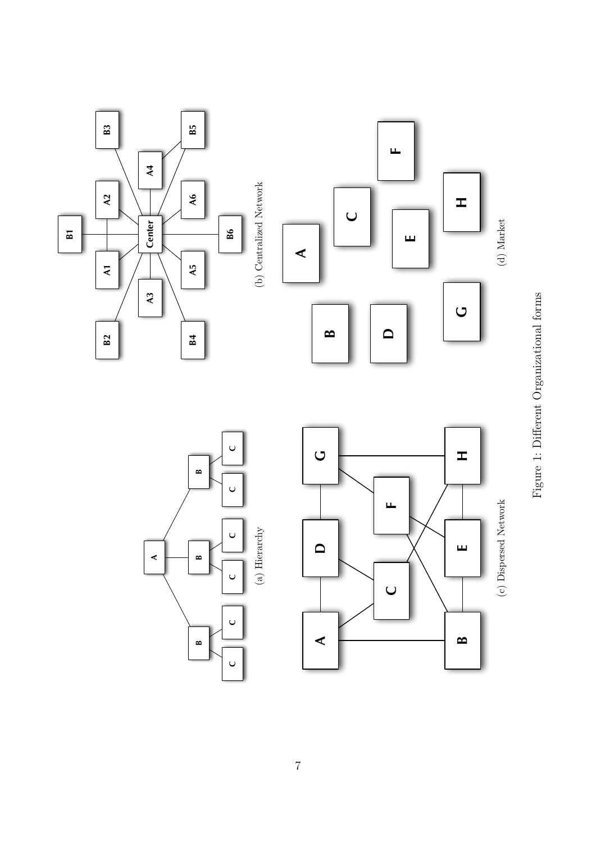<span id="page-6-2"></span><span id="page-6-0"></span>

<span id="page-6-1"></span>

**A**

**C**



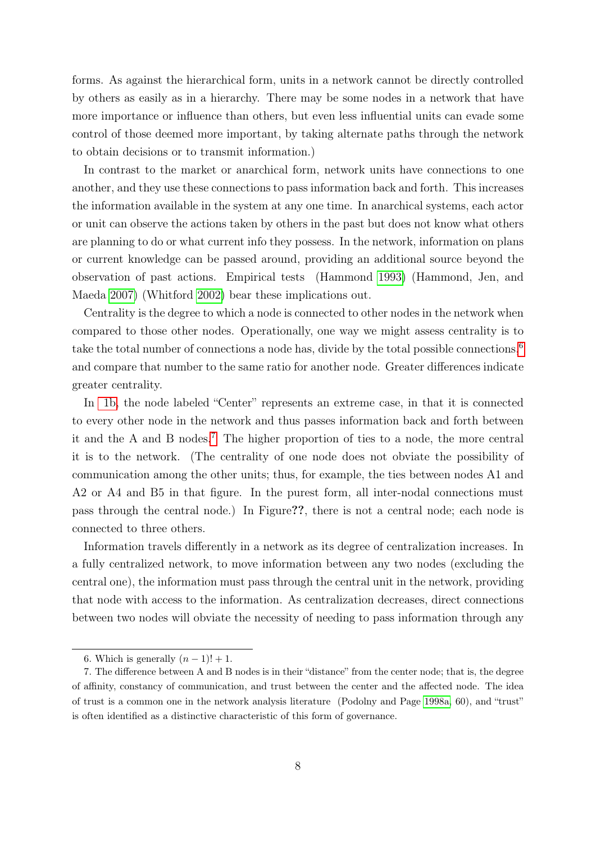forms. As against the hierarchical form, units in a network cannot be directly controlled by others as easily as in a hierarchy. There may be some nodes in a network that have more importance or influence than others, but even less influential units can evade some control of those deemed more important, by taking alternate paths through the network to obtain decisions or to transmit information.)

In contrast to the market or anarchical form, network units have connections to one another, and they use these connections to pass information back and forth. This increases the information available in the system at any one time. In anarchical systems, each actor or unit can observe the actions taken by others in the past but does not know what others are planning to do or what current info they possess. In the network, information on plans or current knowledge can be passed around, providing an additional source beyond the observation of past actions. Empirical tests (Hammond [1993\)](#page-29-5) (Hammond, Jen, and Maeda [2007\)](#page-29-6) (Whitford [2002\)](#page-31-2) bear these implications out.

Centrality is the degree to which a node is connected to other nodes in the network when compared to those other nodes. Operationally, one way we might assess centrality is to take the total number of connections a node has, divide by the total possible connections,<sup>[6](#page-7-0)</sup> and compare that number to the same ratio for another node. Greater differences indicate greater centrality.

In [1b,](#page-6-1) the node labeled "Center" represents an extreme case, in that it is connected to every other node in the network and thus passes information back and forth between it and the A and B nodes.[7](#page-7-1) The higher proportion of ties to a node, the more central it is to the network. (The centrality of one node does not obviate the possibility of communication among the other units; thus, for example, the ties between nodes A1 and A2 or A4 and B5 in that figure. In the purest form, all inter-nodal connections must pass through the central node.) In Figure??, there is not a central node; each node is connected to three others.

Information travels differently in a network as its degree of centralization increases. In a fully centralized network, to move information between any two nodes (excluding the central one), the information must pass through the central unit in the network, providing that node with access to the information. As centralization decreases, direct connections between two nodes will obviate the necessity of needing to pass information through any

<span id="page-7-1"></span><span id="page-7-0"></span><sup>6.</sup> Which is generally  $(n-1)! + 1$ .

<sup>7.</sup> The difference between A and B nodes is in their "distance" from the center node; that is, the degree of affinity, constancy of communication, and trust between the center and the affected node. The idea of trust is a common one in the network analysis literature (Podolny and Page [1998a,](#page-30-3) 60), and "trust" is often identified as a distinctive characteristic of this form of governance.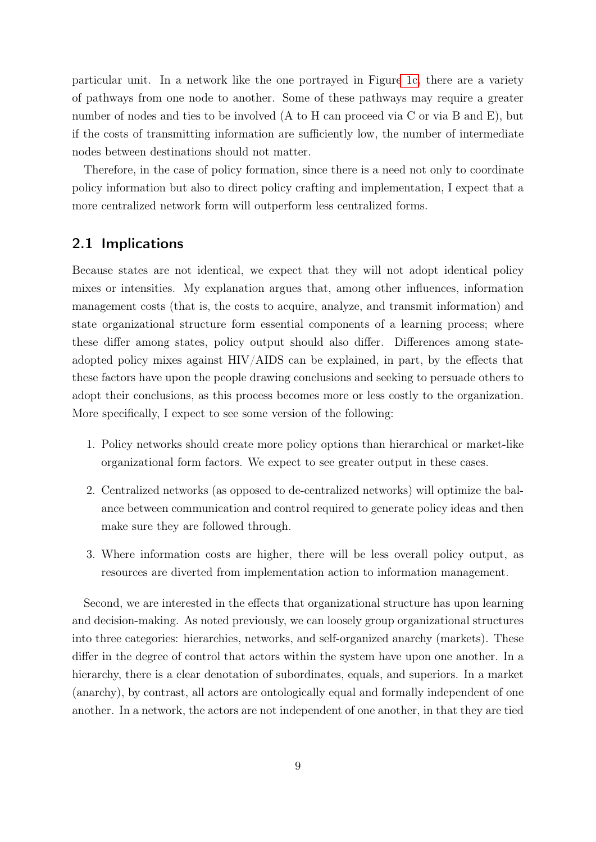particular unit. In a network like the one portrayed in Figur[e 1c,](#page-6-2) there are a variety of pathways from one node to another. Some of these pathways may require a greater number of nodes and ties to be involved (A to H can proceed via C or via B and E), but if the costs of transmitting information are sufficiently low, the number of intermediate nodes between destinations should not matter.

Therefore, in the case of policy formation, since there is a need not only to coordinate policy information but also to direct policy crafting and implementation, I expect that a more centralized network form will outperform less centralized forms.

#### 2.1 Implications

Because states are not identical, we expect that they will not adopt identical policy mixes or intensities. My explanation argues that, among other influences, information management costs (that is, the costs to acquire, analyze, and transmit information) and state organizational structure form essential components of a learning process; where these differ among states, policy output should also differ. Differences among stateadopted policy mixes against HIV/AIDS can be explained, in part, by the effects that these factors have upon the people drawing conclusions and seeking to persuade others to adopt their conclusions, as this process becomes more or less costly to the organization. More specifically, I expect to see some version of the following:

- 1. Policy networks should create more policy options than hierarchical or market-like organizational form factors. We expect to see greater output in these cases.
- 2. Centralized networks (as opposed to de-centralized networks) will optimize the balance between communication and control required to generate policy ideas and then make sure they are followed through.
- 3. Where information costs are higher, there will be less overall policy output, as resources are diverted from implementation action to information management.

Second, we are interested in the effects that organizational structure has upon learning and decision-making. As noted previously, we can loosely group organizational structures into three categories: hierarchies, networks, and self-organized anarchy (markets). These differ in the degree of control that actors within the system have upon one another. In a hierarchy, there is a clear denotation of subordinates, equals, and superiors. In a market (anarchy), by contrast, all actors are ontologically equal and formally independent of one another. In a network, the actors are not independent of one another, in that they are tied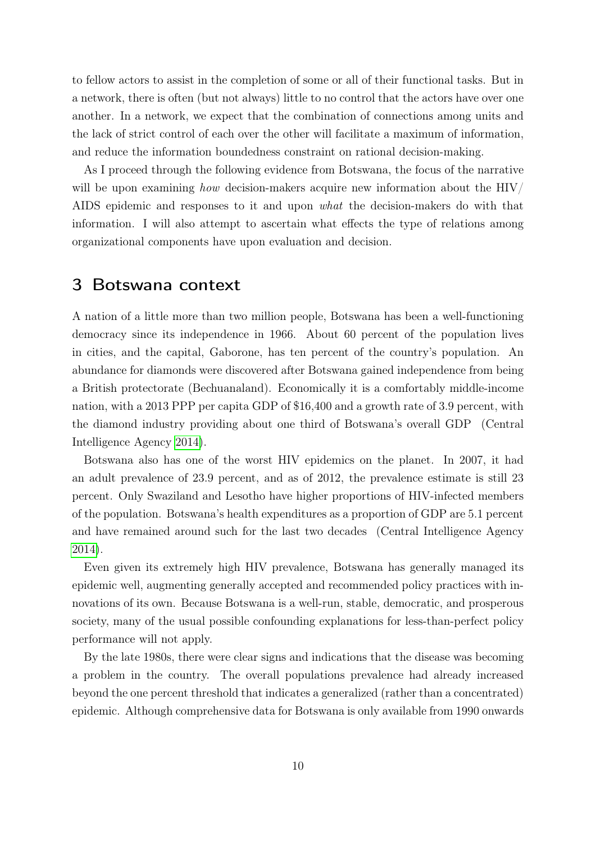to fellow actors to assist in the completion of some or all of their functional tasks. But in a network, there is often (but not always) little to no control that the actors have over one another. In a network, we expect that the combination of connections among units and the lack of strict control of each over the other will facilitate a maximum of information, and reduce the information boundedness constraint on rational decision-making.

As I proceed through the following evidence from Botswana, the focus of the narrative will be upon examining how decision-makers acquire new information about the  $HIV/$ AIDS epidemic and responses to it and upon what the decision-makers do with that information. I will also attempt to ascertain what effects the type of relations among organizational components have upon evaluation and decision.

### 3 Botswana context

A nation of a little more than two million people, Botswana has been a well-functioning democracy since its independence in 1966. About 60 percent of the population lives in cities, and the capital, Gaborone, has ten percent of the country's population. An abundance for diamonds were discovered after Botswana gained independence from being a British protectorate (Bechuanaland). Economically it is a comfortably middle-income nation, with a 2013 PPP per capita GDP of \$16,400 and a growth rate of 3.9 percent, with the diamond industry providing about one third of Botswana's overall GDP (Central Intelligence Agency [2014\)](#page-29-7).

Botswana also has one of the worst HIV epidemics on the planet. In 2007, it had an adult prevalence of 23.9 percent, and as of 2012, the prevalence estimate is still 23 percent. Only Swaziland and Lesotho have higher proportions of HIV-infected members of the population. Botswana's health expenditures as a proportion of GDP are 5.1 percent and have remained around such for the last two decades (Central Intelligence Agency [2014\)](#page-29-7).

Even given its extremely high HIV prevalence, Botswana has generally managed its epidemic well, augmenting generally accepted and recommended policy practices with innovations of its own. Because Botswana is a well-run, stable, democratic, and prosperous society, many of the usual possible confounding explanations for less-than-perfect policy performance will not apply.

By the late 1980s, there were clear signs and indications that the disease was becoming a problem in the country. The overall populations prevalence had already increased beyond the one percent threshold that indicates a generalized (rather than a concentrated) epidemic. Although comprehensive data for Botswana is only available from 1990 onwards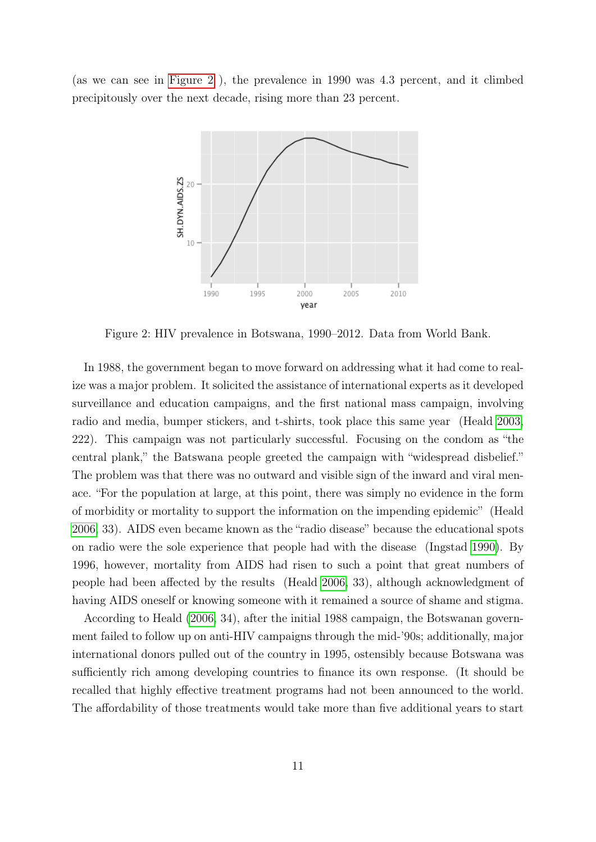<span id="page-10-0"></span>(as we can see in [Figure 2](#page-10-0) ), the prevalence in 1990 was 4.3 percent, and it climbed precipitously over the next decade, rising more than 23 percent.



Figure 2: HIV prevalence in Botswana, 1990–2012. Data from World Bank.

In 1988, the government began to move forward on addressing what it had come to realize was a major problem. It solicited the assistance of international experts as it developed surveillance and education campaigns, and the first national mass campaign, involving radio and media, bumper stickers, and t-shirts, took place this same year (Heald [2003,](#page-29-8) 222). This campaign was not particularly successful. Focusing on the condom as "the central plank," the Batswana people greeted the campaign with "widespread disbelief." The problem was that there was no outward and visible sign of the inward and viral menace. "For the population at large, at this point, there was simply no evidence in the form of morbidity or mortality to support the information on the impending epidemic" (Heald [2006,](#page-30-7) 33). AIDS even became known as the "radio disease" because the educational spots on radio were the sole experience that people had with the disease (Ingstad [1990\)](#page-30-8). By 1996, however, mortality from AIDS had risen to such a point that great numbers of people had been affected by the results (Heald [2006,](#page-30-7) 33), although acknowledgment of having AIDS oneself or knowing someone with it remained a source of shame and stigma.

According to Heald [\(2006,](#page-30-7) 34), after the initial 1988 campaign, the Botswanan government failed to follow up on anti-HIV campaigns through the mid-'90s; additionally, major international donors pulled out of the country in 1995, ostensibly because Botswana was sufficiently rich among developing countries to finance its own response. (It should be recalled that highly effective treatment programs had not been announced to the world. The affordability of those treatments would take more than five additional years to start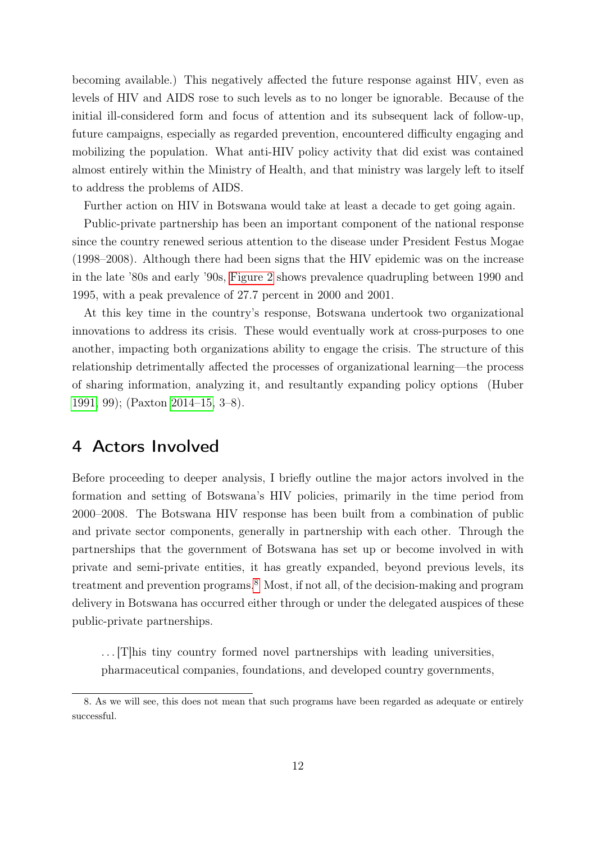becoming available.) This negatively affected the future response against HIV, even as levels of HIV and AIDS rose to such levels as to no longer be ignorable. Because of the initial ill-considered form and focus of attention and its subsequent lack of follow-up, future campaigns, especially as regarded prevention, encountered difficulty engaging and mobilizing the population. What anti-HIV policy activity that did exist was contained almost entirely within the Ministry of Health, and that ministry was largely left to itself to address the problems of AIDS.

Further action on HIV in Botswana would take at least a decade to get going again.

Public-private partnership has been an important component of the national response since the country renewed serious attention to the disease under President Festus Mogae (1998–2008). Although there had been signs that the HIV epidemic was on the increase in the late '80s and early '90s, [Figure 2](#page-10-0) shows prevalence quadrupling between 1990 and 1995, with a peak prevalence of 27.7 percent in 2000 and 2001.

At this key time in the country's response, Botswana undertook two organizational innovations to address its crisis. These would eventually work at cross-purposes to one another, impacting both organizations ability to engage the crisis. The structure of this relationship detrimentally affected the processes of organizational learning—the process of sharing information, analyzing it, and resultantly expanding policy options (Huber [1991,](#page-30-9) 99); (Paxton [2014–15,](#page-30-2) 3–8).

## 4 Actors Involved

Before proceeding to deeper analysis, I briefly outline the major actors involved in the formation and setting of Botswana's HIV policies, primarily in the time period from 2000–2008. The Botswana HIV response has been built from a combination of public and private sector components, generally in partnership with each other. Through the partnerships that the government of Botswana has set up or become involved in with private and semi-private entities, it has greatly expanded, beyond previous levels, its treatment and prevention programs.[8](#page-11-0) Most, if not all, of the decision-making and program delivery in Botswana has occurred either through or under the delegated auspices of these public-private partnerships.

. . . [T]his tiny country formed novel partnerships with leading universities, pharmaceutical companies, foundations, and developed country governments,

<span id="page-11-0"></span><sup>8.</sup> As we will see, this does not mean that such programs have been regarded as adequate or entirely successful.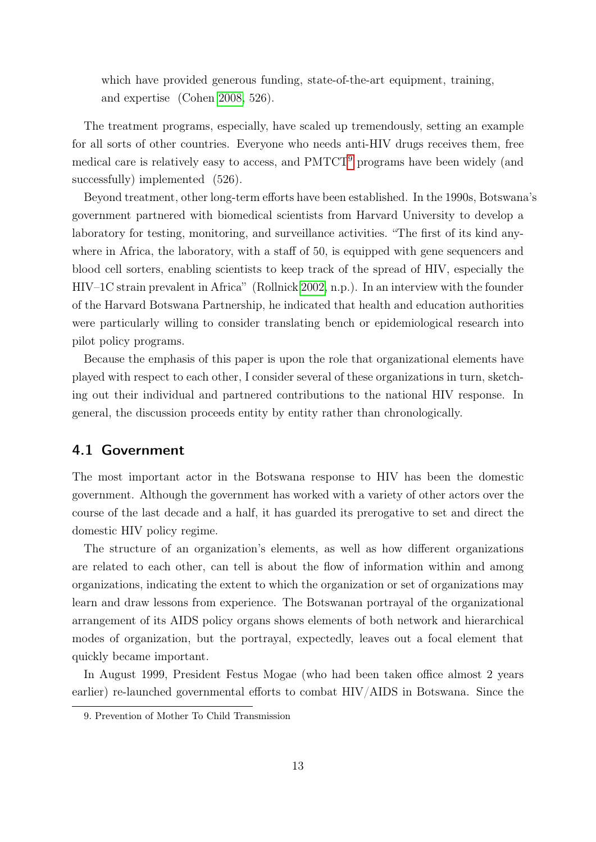which have provided generous funding, state-of-the-art equipment, training, and expertise (Cohen [2008,](#page-29-9) 526).

The treatment programs, especially, have scaled up tremendously, setting an example for all sorts of other countries. Everyone who needs anti-HIV drugs receives them, free medical care is relatively easy to access, and PMTCT<sup>[9](#page-12-0)</sup> programs have been widely (and successfully) implemented  $(526)$ .

Beyond treatment, other long-term efforts have been established. In the 1990s, Botswana's government partnered with biomedical scientists from Harvard University to develop a laboratory for testing, monitoring, and surveillance activities. "The first of its kind anywhere in Africa, the laboratory, with a staff of 50, is equipped with gene sequencers and blood cell sorters, enabling scientists to keep track of the spread of HIV, especially the HIV–1C strain prevalent in Africa" (Rollnick [2002,](#page-31-3) n.p.). In an interview with the founder of the Harvard Botswana Partnership, he indicated that health and education authorities were particularly willing to consider translating bench or epidemiological research into pilot policy programs.

Because the emphasis of this paper is upon the role that organizational elements have played with respect to each other, I consider several of these organizations in turn, sketching out their individual and partnered contributions to the national HIV response. In general, the discussion proceeds entity by entity rather than chronologically.

#### 4.1 Government

The most important actor in the Botswana response to HIV has been the domestic government. Although the government has worked with a variety of other actors over the course of the last decade and a half, it has guarded its prerogative to set and direct the domestic HIV policy regime.

The structure of an organization's elements, as well as how different organizations are related to each other, can tell is about the flow of information within and among organizations, indicating the extent to which the organization or set of organizations may learn and draw lessons from experience. The Botswanan portrayal of the organizational arrangement of its AIDS policy organs shows elements of both network and hierarchical modes of organization, but the portrayal, expectedly, leaves out a focal element that quickly became important.

In August 1999, President Festus Mogae (who had been taken office almost 2 years earlier) re-launched governmental efforts to combat HIV/AIDS in Botswana. Since the

<span id="page-12-0"></span><sup>9.</sup> Prevention of Mother To Child Transmission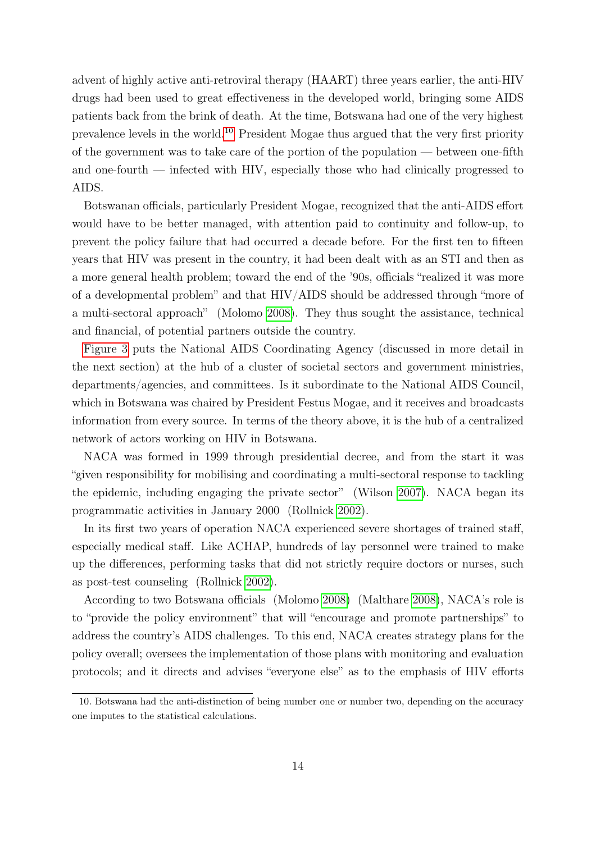advent of highly active anti-retroviral therapy (HAART) three years earlier, the anti-HIV drugs had been used to great effectiveness in the developed world, bringing some AIDS patients back from the brink of death. At the time, Botswana had one of the very highest prevalence levels in the world.[10](#page-13-0) President Mogae thus argued that the very first priority of the government was to take care of the portion of the population — between one-fifth and one-fourth — infected with HIV, especially those who had clinically progressed to AIDS.

Botswanan officials, particularly President Mogae, recognized that the anti-AIDS effort would have to be better managed, with attention paid to continuity and follow-up, to prevent the policy failure that had occurred a decade before. For the first ten to fifteen years that HIV was present in the country, it had been dealt with as an STI and then as a more general health problem; toward the end of the '90s, officials "realized it was more of a developmental problem" and that HIV/AIDS should be addressed through "more of a multi-sectoral approach" (Molomo [2008\)](#page-30-10). They thus sought the assistance, technical and financial, of potential partners outside the country.

[Figure 3](#page-14-0) puts the National AIDS Coordinating Agency (discussed in more detail in the next section) at the hub of a cluster of societal sectors and government ministries, departments/agencies, and committees. Is it subordinate to the National AIDS Council, which in Botswana was chaired by President Festus Mogae, and it receives and broadcasts information from every source. In terms of the theory above, it is the hub of a centralized network of actors working on HIV in Botswana.

NACA was formed in 1999 through presidential decree, and from the start it was "given responsibility for mobilising and coordinating a multi-sectoral response to tackling the epidemic, including engaging the private sector" (Wilson [2007\)](#page-31-4). NACA began its programmatic activities in January 2000 (Rollnick [2002\)](#page-31-3).

In its first two years of operation NACA experienced severe shortages of trained staff, especially medical staff. Like ACHAP, hundreds of lay personnel were trained to make up the differences, performing tasks that did not strictly require doctors or nurses, such as post-test counseling (Rollnick [2002\)](#page-31-3).

According to two Botswana officials (Molomo [2008\)](#page-30-10) (Malthare [2008\)](#page-30-11), NACA's role is to "provide the policy environment" that will "encourage and promote partnerships" to address the country's AIDS challenges. To this end, NACA creates strategy plans for the policy overall; oversees the implementation of those plans with monitoring and evaluation protocols; and it directs and advises "everyone else" as to the emphasis of HIV efforts

<span id="page-13-0"></span><sup>10.</sup> Botswana had the anti-distinction of being number one or number two, depending on the accuracy one imputes to the statistical calculations.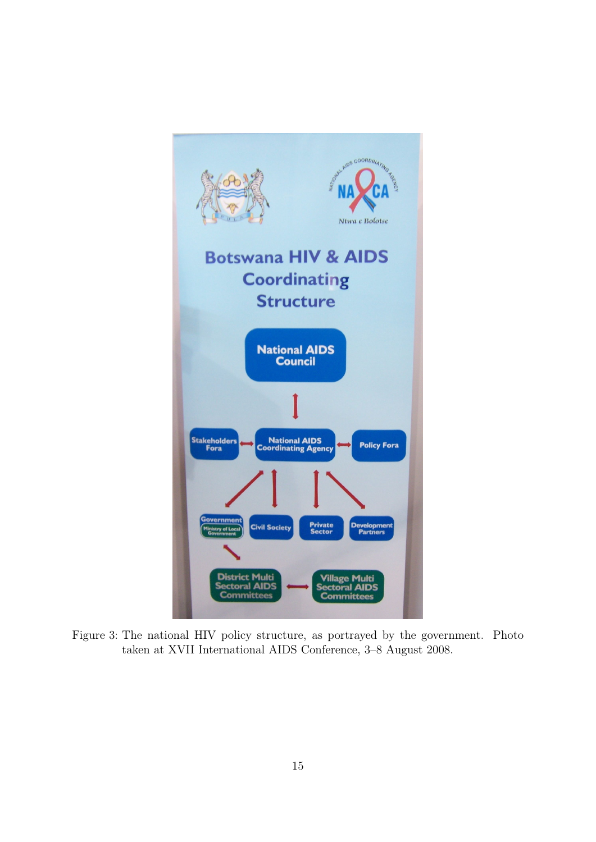<span id="page-14-0"></span>

Figure 3: The national HIV policy structure, as portrayed by the government. Photo taken at XVII International AIDS Conference, 3–8 August 2008.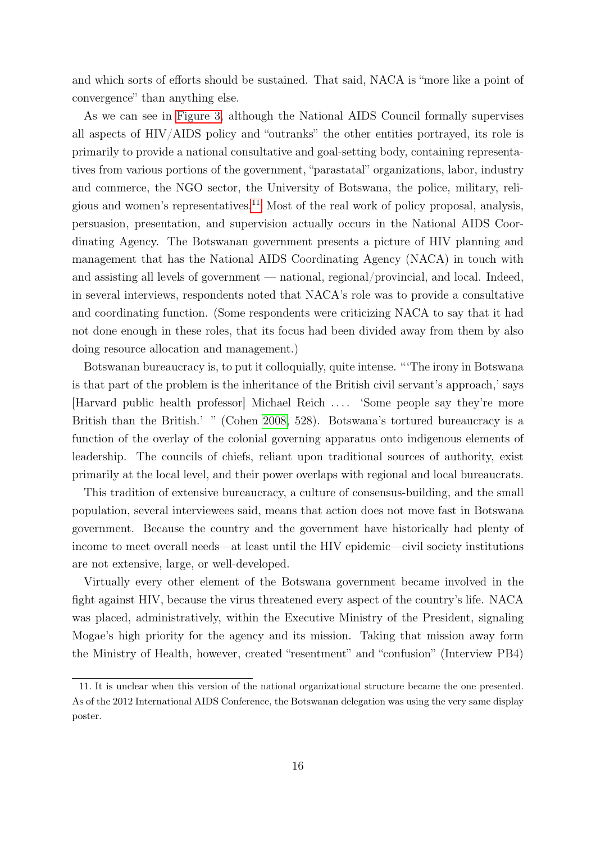and which sorts of efforts should be sustained. That said, NACA is "more like a point of convergence" than anything else.

As we can see in [Figure 3,](#page-14-0) although the National AIDS Council formally supervises all aspects of HIV/AIDS policy and "outranks" the other entities portrayed, its role is primarily to provide a national consultative and goal-setting body, containing representatives from various portions of the government, "parastatal" organizations, labor, industry and commerce, the NGO sector, the University of Botswana, the police, military, reli-gious and women's representatives.<sup>[11](#page-15-0)</sup> Most of the real work of policy proposal, analysis, persuasion, presentation, and supervision actually occurs in the National AIDS Coordinating Agency. The Botswanan government presents a picture of HIV planning and management that has the National AIDS Coordinating Agency (NACA) in touch with and assisting all levels of government — national, regional/provincial, and local. Indeed, in several interviews, respondents noted that NACA's role was to provide a consultative and coordinating function. (Some respondents were criticizing NACA to say that it had not done enough in these roles, that its focus had been divided away from them by also doing resource allocation and management.)

Botswanan bureaucracy is, to put it colloquially, quite intense. "'The irony in Botswana is that part of the problem is the inheritance of the British civil servant's approach,' says [Harvard public health professor] Michael Reich . . . . 'Some people say they're more British than the British.' " (Cohen [2008,](#page-29-9) 528). Botswana's tortured bureaucracy is a function of the overlay of the colonial governing apparatus onto indigenous elements of leadership. The councils of chiefs, reliant upon traditional sources of authority, exist primarily at the local level, and their power overlaps with regional and local bureaucrats.

This tradition of extensive bureaucracy, a culture of consensus-building, and the small population, several interviewees said, means that action does not move fast in Botswana government. Because the country and the government have historically had plenty of income to meet overall needs—at least until the HIV epidemic—civil society institutions are not extensive, large, or well-developed.

Virtually every other element of the Botswana government became involved in the fight against HIV, because the virus threatened every aspect of the country's life. NACA was placed, administratively, within the Executive Ministry of the President, signaling Mogae's high priority for the agency and its mission. Taking that mission away form the Ministry of Health, however, created "resentment" and "confusion" (Interview PB4)

<span id="page-15-0"></span><sup>11.</sup> It is unclear when this version of the national organizational structure became the one presented. As of the 2012 International AIDS Conference, the Botswanan delegation was using the very same display poster.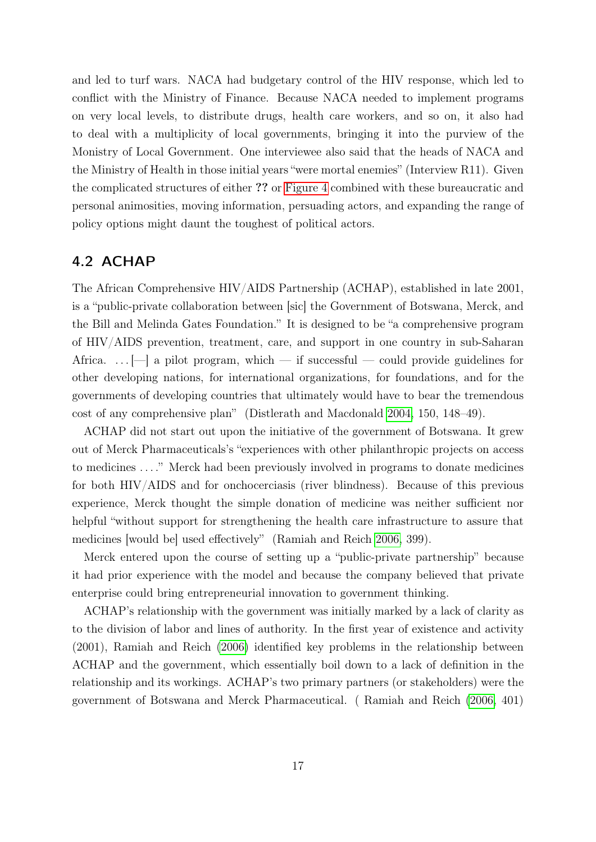and led to turf wars. NACA had budgetary control of the HIV response, which led to conflict with the Ministry of Finance. Because NACA needed to implement programs on very local levels, to distribute drugs, health care workers, and so on, it also had to deal with a multiplicity of local governments, bringing it into the purview of the Monistry of Local Government. One interviewee also said that the heads of NACA and the Ministry of Health in those initial years "were mortal enemies" (Interview R11). Given the complicated structures of either ?? or [Figure 4](#page-22-0) combined with these bureaucratic and personal animosities, moving information, persuading actors, and expanding the range of policy options might daunt the toughest of political actors.

#### <span id="page-16-0"></span>4.2 ACHAP

The African Comprehensive HIV/AIDS Partnership (ACHAP), established in late 2001, is a "public-private collaboration between [sic] the Government of Botswana, Merck, and the Bill and Melinda Gates Foundation." It is designed to be "a comprehensive program of HIV/AIDS prevention, treatment, care, and support in one country in sub-Saharan Africa.  $\ldots$  | a pilot program, which — if successful — could provide guidelines for other developing nations, for international organizations, for foundations, and for the governments of developing countries that ultimately would have to bear the tremendous cost of any comprehensive plan" (Distlerath and Macdonald [2004,](#page-29-10) 150, 148–49).

ACHAP did not start out upon the initiative of the government of Botswana. It grew out of Merck Pharmaceuticals's "experiences with other philanthropic projects on access to medicines . . . ." Merck had been previously involved in programs to donate medicines for both HIV/AIDS and for onchocerciasis (river blindness). Because of this previous experience, Merck thought the simple donation of medicine was neither sufficient nor helpful "without support for strengthening the health care infrastructure to assure that medicines [would be] used effectively" (Ramiah and Reich [2006,](#page-30-1) 399).

Merck entered upon the course of setting up a "public-private partnership" because it had prior experience with the model and because the company believed that private enterprise could bring entrepreneurial innovation to government thinking.

ACHAP's relationship with the government was initially marked by a lack of clarity as to the division of labor and lines of authority. In the first year of existence and activity (2001), Ramiah and Reich [\(2006\)](#page-30-1) identified key problems in the relationship between ACHAP and the government, which essentially boil down to a lack of definition in the relationship and its workings. ACHAP's two primary partners (or stakeholders) were the government of Botswana and Merck Pharmaceutical. ( Ramiah and Reich [\(2006,](#page-30-1) 401)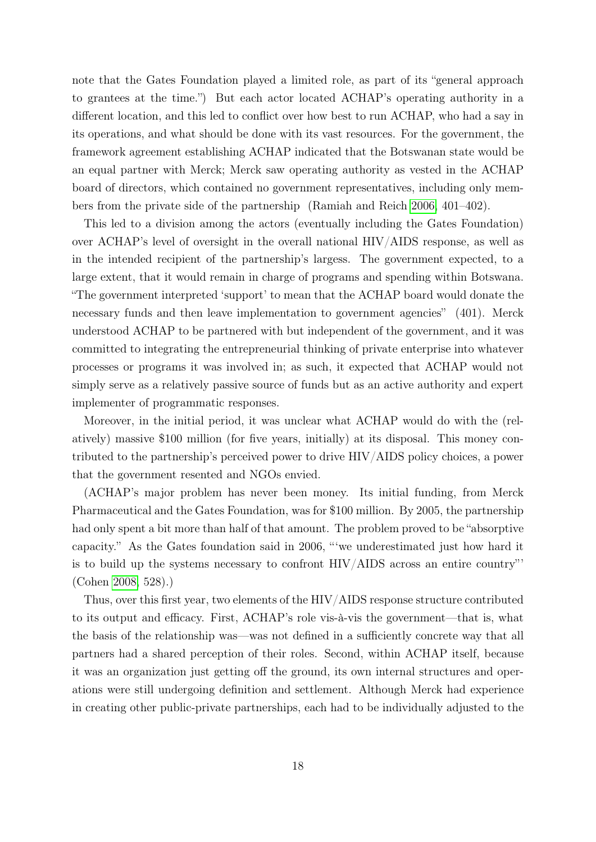note that the Gates Foundation played a limited role, as part of its "general approach to grantees at the time.") But each actor located ACHAP's operating authority in a different location, and this led to conflict over how best to run ACHAP, who had a say in its operations, and what should be done with its vast resources. For the government, the framework agreement establishing ACHAP indicated that the Botswanan state would be an equal partner with Merck; Merck saw operating authority as vested in the ACHAP board of directors, which contained no government representatives, including only members from the private side of the partnership (Ramiah and Reich [2006,](#page-30-1) 401–402).

This led to a division among the actors (eventually including the Gates Foundation) over ACHAP's level of oversight in the overall national HIV/AIDS response, as well as in the intended recipient of the partnership's largess. The government expected, to a large extent, that it would remain in charge of programs and spending within Botswana. "The government interpreted 'support' to mean that the ACHAP board would donate the necessary funds and then leave implementation to government agencies" (401). Merck understood ACHAP to be partnered with but independent of the government, and it was committed to integrating the entrepreneurial thinking of private enterprise into whatever processes or programs it was involved in; as such, it expected that ACHAP would not simply serve as a relatively passive source of funds but as an active authority and expert implementer of programmatic responses.

Moreover, in the initial period, it was unclear what ACHAP would do with the (relatively) massive \$100 million (for five years, initially) at its disposal. This money contributed to the partnership's perceived power to drive HIV/AIDS policy choices, a power that the government resented and NGOs envied.

(ACHAP's major problem has never been money. Its initial funding, from Merck Pharmaceutical and the Gates Foundation, was for \$100 million. By 2005, the partnership had only spent a bit more than half of that amount. The problem proved to be "absorptive capacity." As the Gates foundation said in 2006, "'we underestimated just how hard it is to build up the systems necessary to confront HIV/AIDS across an entire country"' (Cohen [2008,](#page-29-9) 528).)

Thus, over this first year, two elements of the HIV/AIDS response structure contributed to its output and efficacy. First, ACHAP's role vis-à-vis the government—that is, what the basis of the relationship was—was not defined in a sufficiently concrete way that all partners had a shared perception of their roles. Second, within ACHAP itself, because it was an organization just getting off the ground, its own internal structures and operations were still undergoing definition and settlement. Although Merck had experience in creating other public-private partnerships, each had to be individually adjusted to the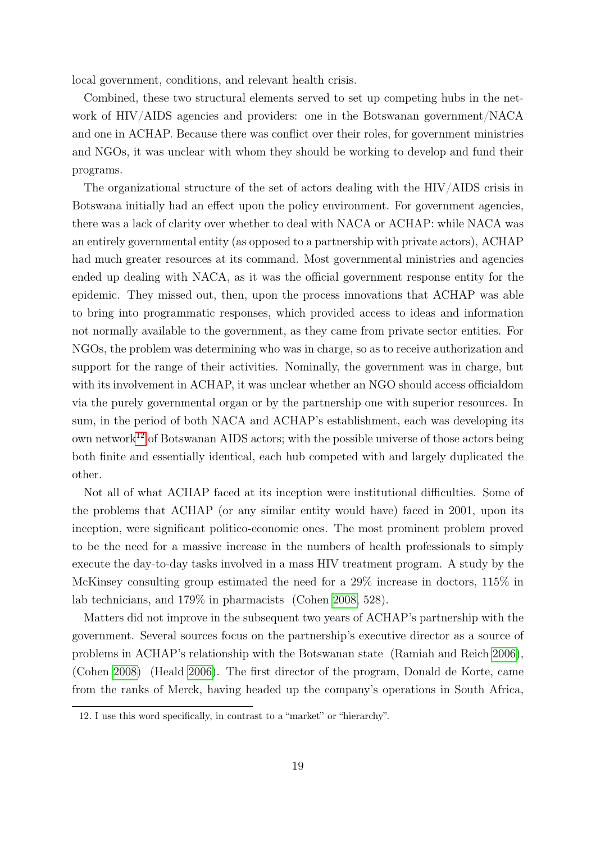local government, conditions, and relevant health crisis.

Combined, these two structural elements served to set up competing hubs in the network of HIV/AIDS agencies and providers: one in the Botswanan government/NACA and one in ACHAP. Because there was conflict over their roles, for government ministries and NGOs, it was unclear with whom they should be working to develop and fund their programs.

The organizational structure of the set of actors dealing with the HIV/AIDS crisis in Botswana initially had an effect upon the policy environment. For government agencies, there was a lack of clarity over whether to deal with NACA or ACHAP: while NACA was an entirely governmental entity (as opposed to a partnership with private actors), ACHAP had much greater resources at its command. Most governmental ministries and agencies ended up dealing with NACA, as it was the official government response entity for the epidemic. They missed out, then, upon the process innovations that ACHAP was able to bring into programmatic responses, which provided access to ideas and information not normally available to the government, as they came from private sector entities. For NGOs, the problem was determining who was in charge, so as to receive authorization and support for the range of their activities. Nominally, the government was in charge, but with its involvement in ACHAP, it was unclear whether an NGO should access officialdom via the purely governmental organ or by the partnership one with superior resources. In sum, in the period of both NACA and ACHAP's establishment, each was developing its own network<sup>[12](#page-18-0)</sup> of Botswanan AIDS actors; with the possible universe of those actors being both finite and essentially identical, each hub competed with and largely duplicated the other.

Not all of what ACHAP faced at its inception were institutional difficulties. Some of the problems that ACHAP (or any similar entity would have) faced in 2001, upon its inception, were significant politico-economic ones. The most prominent problem proved to be the need for a massive increase in the numbers of health professionals to simply execute the day-to-day tasks involved in a mass HIV treatment program. A study by the McKinsey consulting group estimated the need for a 29% increase in doctors, 115% in lab technicians, and 179% in pharmacists (Cohen [2008,](#page-29-9) 528).

Matters did not improve in the subsequent two years of ACHAP's partnership with the government. Several sources focus on the partnership's executive director as a source of problems in ACHAP's relationship with the Botswanan state (Ramiah and Reich [2006\)](#page-30-1), (Cohen [2008\)](#page-29-9) (Heald [2006\)](#page-30-7). The first director of the program, Donald de Korte, came from the ranks of Merck, having headed up the company's operations in South Africa,

<span id="page-18-0"></span><sup>12.</sup> I use this word specifically, in contrast to a "market" or "hierarchy".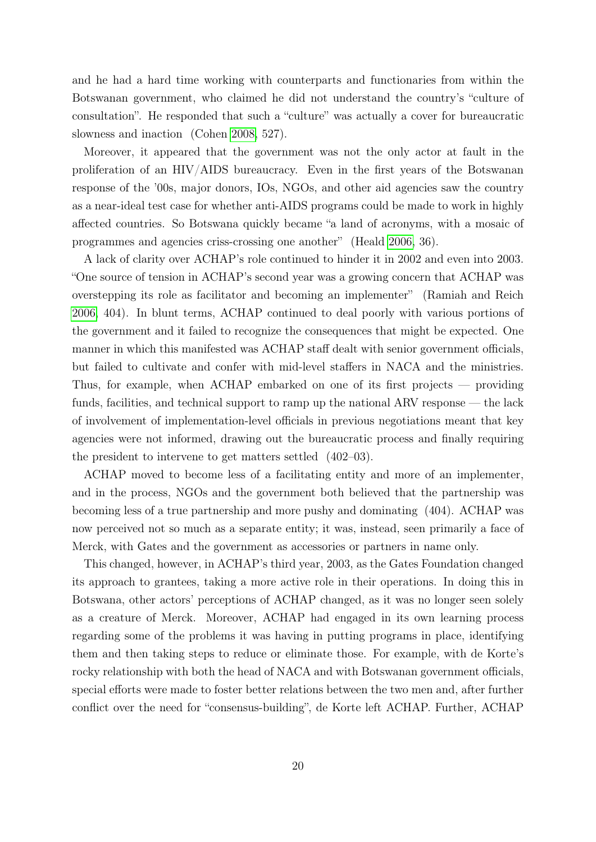and he had a hard time working with counterparts and functionaries from within the Botswanan government, who claimed he did not understand the country's "culture of consultation". He responded that such a "culture" was actually a cover for bureaucratic slowness and inaction (Cohen [2008,](#page-29-9) 527).

Moreover, it appeared that the government was not the only actor at fault in the proliferation of an HIV/AIDS bureaucracy. Even in the first years of the Botswanan response of the '00s, major donors, IOs, NGOs, and other aid agencies saw the country as a near-ideal test case for whether anti-AIDS programs could be made to work in highly affected countries. So Botswana quickly became "a land of acronyms, with a mosaic of programmes and agencies criss-crossing one another" (Heald [2006,](#page-30-7) 36).

A lack of clarity over ACHAP's role continued to hinder it in 2002 and even into 2003. "One source of tension in ACHAP's second year was a growing concern that ACHAP was overstepping its role as facilitator and becoming an implementer" (Ramiah and Reich [2006,](#page-30-1) 404). In blunt terms, ACHAP continued to deal poorly with various portions of the government and it failed to recognize the consequences that might be expected. One manner in which this manifested was ACHAP staff dealt with senior government officials, but failed to cultivate and confer with mid-level staffers in NACA and the ministries. Thus, for example, when ACHAP embarked on one of its first projects — providing funds, facilities, and technical support to ramp up the national ARV response — the lack of involvement of implementation-level officials in previous negotiations meant that key agencies were not informed, drawing out the bureaucratic process and finally requiring the president to intervene to get matters settled (402–03).

ACHAP moved to become less of a facilitating entity and more of an implementer, and in the process, NGOs and the government both believed that the partnership was becoming less of a true partnership and more pushy and dominating (404). ACHAP was now perceived not so much as a separate entity; it was, instead, seen primarily a face of Merck, with Gates and the government as accessories or partners in name only.

This changed, however, in ACHAP's third year, 2003, as the Gates Foundation changed its approach to grantees, taking a more active role in their operations. In doing this in Botswana, other actors' perceptions of ACHAP changed, as it was no longer seen solely as a creature of Merck. Moreover, ACHAP had engaged in its own learning process regarding some of the problems it was having in putting programs in place, identifying them and then taking steps to reduce or eliminate those. For example, with de Korte's rocky relationship with both the head of NACA and with Botswanan government officials, special efforts were made to foster better relations between the two men and, after further conflict over the need for "consensus-building", de Korte left ACHAP. Further, ACHAP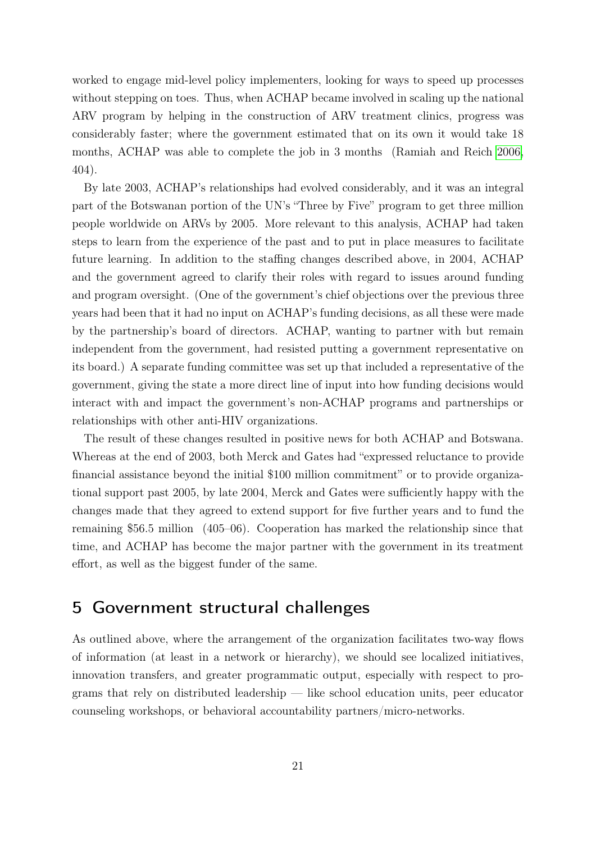worked to engage mid-level policy implementers, looking for ways to speed up processes without stepping on toes. Thus, when ACHAP became involved in scaling up the national ARV program by helping in the construction of ARV treatment clinics, progress was considerably faster; where the government estimated that on its own it would take 18 months, ACHAP was able to complete the job in 3 months (Ramiah and Reich [2006,](#page-30-1) 404).

By late 2003, ACHAP's relationships had evolved considerably, and it was an integral part of the Botswanan portion of the UN's "Three by Five" program to get three million people worldwide on ARVs by 2005. More relevant to this analysis, ACHAP had taken steps to learn from the experience of the past and to put in place measures to facilitate future learning. In addition to the staffing changes described above, in 2004, ACHAP and the government agreed to clarify their roles with regard to issues around funding and program oversight. (One of the government's chief objections over the previous three years had been that it had no input on ACHAP's funding decisions, as all these were made by the partnership's board of directors. ACHAP, wanting to partner with but remain independent from the government, had resisted putting a government representative on its board.) A separate funding committee was set up that included a representative of the government, giving the state a more direct line of input into how funding decisions would interact with and impact the government's non-ACHAP programs and partnerships or relationships with other anti-HIV organizations.

The result of these changes resulted in positive news for both ACHAP and Botswana. Whereas at the end of 2003, both Merck and Gates had "expressed reluctance to provide financial assistance beyond the initial \$100 million commitment" or to provide organizational support past 2005, by late 2004, Merck and Gates were sufficiently happy with the changes made that they agreed to extend support for five further years and to fund the remaining \$56.5 million (405–06). Cooperation has marked the relationship since that time, and ACHAP has become the major partner with the government in its treatment effort, as well as the biggest funder of the same.

# 5 Government structural challenges

As outlined above, where the arrangement of the organization facilitates two-way flows of information (at least in a network or hierarchy), we should see localized initiatives, innovation transfers, and greater programmatic output, especially with respect to programs that rely on distributed leadership — like school education units, peer educator counseling workshops, or behavioral accountability partners/micro-networks.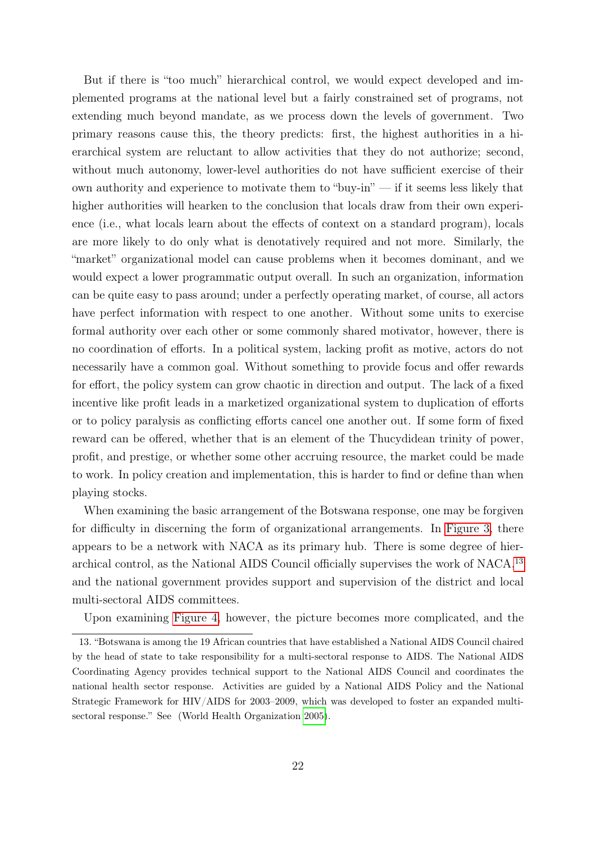But if there is "too much" hierarchical control, we would expect developed and implemented programs at the national level but a fairly constrained set of programs, not extending much beyond mandate, as we process down the levels of government. Two primary reasons cause this, the theory predicts: first, the highest authorities in a hierarchical system are reluctant to allow activities that they do not authorize; second, without much autonomy, lower-level authorities do not have sufficient exercise of their own authority and experience to motivate them to "buy-in" — if it seems less likely that higher authorities will hearken to the conclusion that locals draw from their own experience (i.e., what locals learn about the effects of context on a standard program), locals are more likely to do only what is denotatively required and not more. Similarly, the "market" organizational model can cause problems when it becomes dominant, and we would expect a lower programmatic output overall. In such an organization, information can be quite easy to pass around; under a perfectly operating market, of course, all actors have perfect information with respect to one another. Without some units to exercise formal authority over each other or some commonly shared motivator, however, there is no coordination of efforts. In a political system, lacking profit as motive, actors do not necessarily have a common goal. Without something to provide focus and offer rewards for effort, the policy system can grow chaotic in direction and output. The lack of a fixed incentive like profit leads in a marketized organizational system to duplication of efforts or to policy paralysis as conflicting efforts cancel one another out. If some form of fixed reward can be offered, whether that is an element of the Thucydidean trinity of power, profit, and prestige, or whether some other accruing resource, the market could be made to work. In policy creation and implementation, this is harder to find or define than when playing stocks.

When examining the basic arrangement of the Botswana response, one may be forgiven for difficulty in discerning the form of organizational arrangements. In [Figure 3,](#page-14-0) there appears to be a network with NACA as its primary hub. There is some degree of hier-archical control, as the National AIDS Council officially supervises the work of NACA,<sup>[13](#page-21-0)</sup> and the national government provides support and supervision of the district and local multi-sectoral AIDS committees.

<span id="page-21-0"></span>Upon examining [Figure 4,](#page-22-0) however, the picture becomes more complicated, and the

<sup>13. &</sup>quot;Botswana is among the 19 African countries that have established a National AIDS Council chaired by the head of state to take responsibility for a multi-sectoral response to AIDS. The National AIDS Coordinating Agency provides technical support to the National AIDS Council and coordinates the national health sector response. Activities are guided by a National AIDS Policy and the National Strategic Framework for HIV/AIDS for 2003–2009, which was developed to foster an expanded multisectoral response." See (World Health Organization [2005\)](#page-31-5).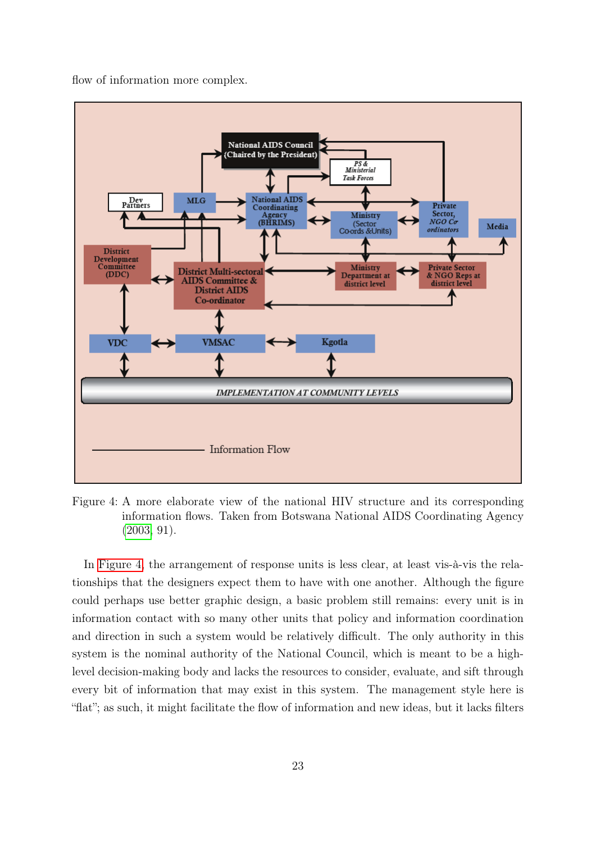flow of information more complex.

<span id="page-22-0"></span>

Figure 4: A more elaborate view of the national HIV structure and its corresponding information flows. Taken from Botswana National AIDS Coordinating Agency [\(2003,](#page-29-11) 91).

In [Figure 4,](#page-22-0) the arrangement of response units is less clear, at least vis-à-vis the relationships that the designers expect them to have with one another. Although the figure could perhaps use better graphic design, a basic problem still remains: every unit is in information contact with so many other units that policy and information coordination and direction in such a system would be relatively difficult. The only authority in this system is the nominal authority of the National Council, which is meant to be a highlevel decision-making body and lacks the resources to consider, evaluate, and sift through every bit of information that may exist in this system. The management style here is "flat"; as such, it might facilitate the flow of information and new ideas, but it lacks filters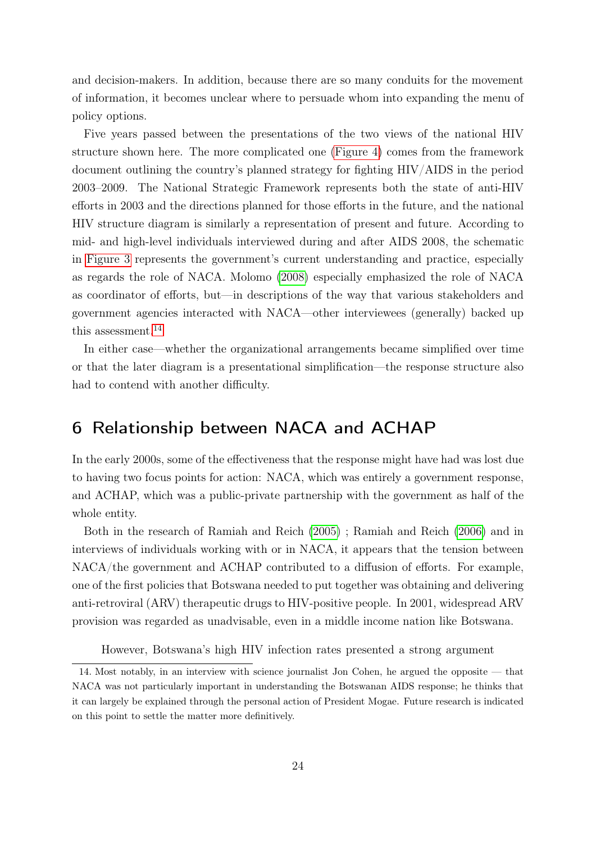and decision-makers. In addition, because there are so many conduits for the movement of information, it becomes unclear where to persuade whom into expanding the menu of policy options.

Five years passed between the presentations of the two views of the national HIV structure shown here. The more complicated one [\(Figure 4\)](#page-22-0) comes from the framework document outlining the country's planned strategy for fighting HIV/AIDS in the period 2003–2009. The National Strategic Framework represents both the state of anti-HIV efforts in 2003 and the directions planned for those efforts in the future, and the national HIV structure diagram is similarly a representation of present and future. According to mid- and high-level individuals interviewed during and after AIDS 2008, the schematic in [Figure 3](#page-14-0) represents the government's current understanding and practice, especially as regards the role of NACA. Molomo [\(2008\)](#page-30-10) especially emphasized the role of NACA as coordinator of efforts, but—in descriptions of the way that various stakeholders and government agencies interacted with NACA—other interviewees (generally) backed up this assessment.<sup>[14](#page-23-0)</sup>

In either case—whether the organizational arrangements became simplified over time or that the later diagram is a presentational simplification—the response structure also had to contend with another difficulty.

## 6 Relationship between NACA and ACHAP

In the early 2000s, some of the effectiveness that the response might have had was lost due to having two focus points for action: NACA, which was entirely a government response, and ACHAP, which was a public-private partnership with the government as half of the whole entity.

Both in the research of Ramiah and Reich [\(2005\)](#page-30-12) ; Ramiah and Reich [\(2006\)](#page-30-1) and in interviews of individuals working with or in NACA, it appears that the tension between NACA/the government and ACHAP contributed to a diffusion of efforts. For example, one of the first policies that Botswana needed to put together was obtaining and delivering anti-retroviral (ARV) therapeutic drugs to HIV-positive people. In 2001, widespread ARV provision was regarded as unadvisable, even in a middle income nation like Botswana.

<span id="page-23-0"></span>However, Botswana's high HIV infection rates presented a strong argument

<sup>14.</sup> Most notably, in an interview with science journalist Jon Cohen, he argued the opposite — that NACA was not particularly important in understanding the Botswanan AIDS response; he thinks that it can largely be explained through the personal action of President Mogae. Future research is indicated on this point to settle the matter more definitively.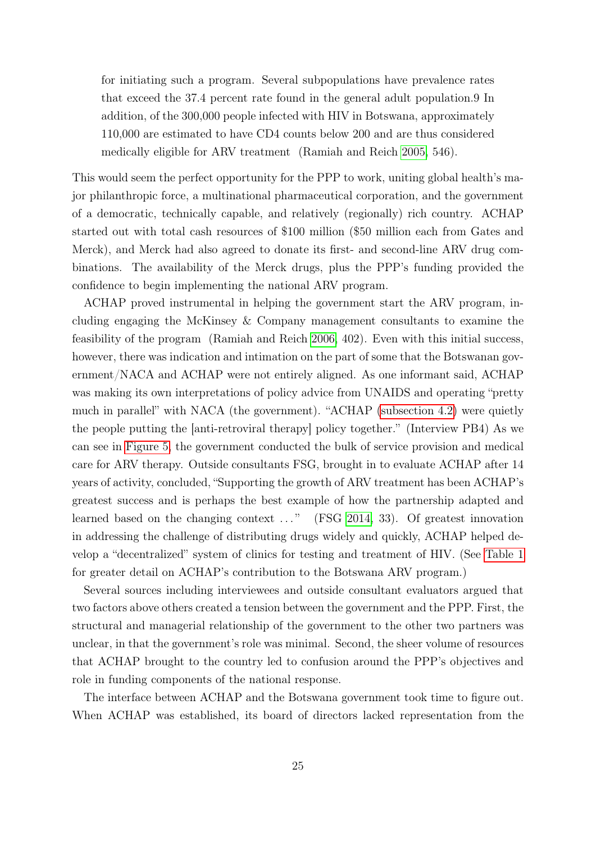for initiating such a program. Several subpopulations have prevalence rates that exceed the 37.4 percent rate found in the general adult population.9 In addition, of the 300,000 people infected with HIV in Botswana, approximately 110,000 are estimated to have CD4 counts below 200 and are thus considered medically eligible for ARV treatment (Ramiah and Reich [2005,](#page-30-12) 546).

This would seem the perfect opportunity for the PPP to work, uniting global health's major philanthropic force, a multinational pharmaceutical corporation, and the government of a democratic, technically capable, and relatively (regionally) rich country. ACHAP started out with total cash resources of \$100 million (\$50 million each from Gates and Merck), and Merck had also agreed to donate its first- and second-line ARV drug combinations. The availability of the Merck drugs, plus the PPP's funding provided the confidence to begin implementing the national ARV program.

ACHAP proved instrumental in helping the government start the ARV program, including engaging the McKinsey & Company management consultants to examine the feasibility of the program (Ramiah and Reich [2006,](#page-30-1) 402). Even with this initial success, however, there was indication and intimation on the part of some that the Botswanan government/NACA and ACHAP were not entirely aligned. As one informant said, ACHAP was making its own interpretations of policy advice from UNAIDS and operating "pretty much in parallel" with NACA (the government). "ACHAP [\(subsection 4.2\)](#page-16-0) were quietly the people putting the [anti-retroviral therapy] policy together." (Interview PB4) As we can see in [Figure 5,](#page-25-0) the government conducted the bulk of service provision and medical care for ARV therapy. Outside consultants FSG, brought in to evaluate ACHAP after 14 years of activity, concluded, "Supporting the growth of ARV treatment has been ACHAP's greatest success and is perhaps the best example of how the partnership adapted and learned based on the changing context  $\dots$ " (FSG [2014,](#page-29-12) 33). Of greatest innovation in addressing the challenge of distributing drugs widely and quickly, ACHAP helped develop a "decentralized" system of clinics for testing and treatment of HIV. (See [Table 1](#page-28-0) for greater detail on ACHAP's contribution to the Botswana ARV program.)

Several sources including interviewees and outside consultant evaluators argued that two factors above others created a tension between the government and the PPP. First, the structural and managerial relationship of the government to the other two partners was unclear, in that the government's role was minimal. Second, the sheer volume of resources that ACHAP brought to the country led to confusion around the PPP's objectives and role in funding components of the national response.

The interface between ACHAP and the Botswana government took time to figure out. When ACHAP was established, its board of directors lacked representation from the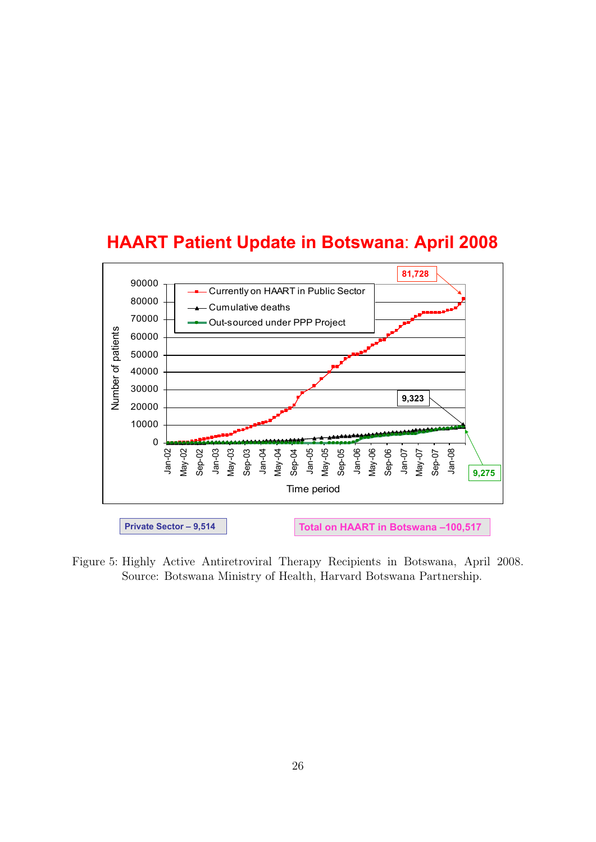<span id="page-25-0"></span>



Figure 5: Highly Active Antiretroviral Therapy Recipients in Botswana, April 2008. Source: Botswana Ministry of Health, Harvard Botswana Partnership.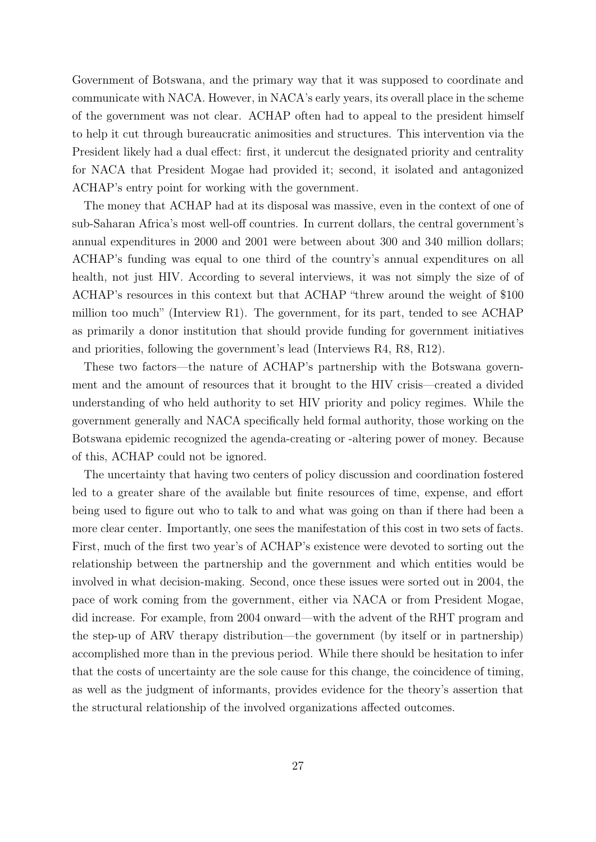Government of Botswana, and the primary way that it was supposed to coordinate and communicate with NACA. However, in NACA's early years, its overall place in the scheme of the government was not clear. ACHAP often had to appeal to the president himself to help it cut through bureaucratic animosities and structures. This intervention via the President likely had a dual effect: first, it undercut the designated priority and centrality for NACA that President Mogae had provided it; second, it isolated and antagonized ACHAP's entry point for working with the government.

The money that ACHAP had at its disposal was massive, even in the context of one of sub-Saharan Africa's most well-off countries. In current dollars, the central government's annual expenditures in 2000 and 2001 were between about 300 and 340 million dollars; ACHAP's funding was equal to one third of the country's annual expenditures on all health, not just HIV. According to several interviews, it was not simply the size of of ACHAP's resources in this context but that ACHAP "threw around the weight of \$100 million too much" (Interview R1). The government, for its part, tended to see ACHAP as primarily a donor institution that should provide funding for government initiatives and priorities, following the government's lead (Interviews R4, R8, R12).

These two factors—the nature of ACHAP's partnership with the Botswana government and the amount of resources that it brought to the HIV crisis—created a divided understanding of who held authority to set HIV priority and policy regimes. While the government generally and NACA specifically held formal authority, those working on the Botswana epidemic recognized the agenda-creating or -altering power of money. Because of this, ACHAP could not be ignored.

The uncertainty that having two centers of policy discussion and coordination fostered led to a greater share of the available but finite resources of time, expense, and effort being used to figure out who to talk to and what was going on than if there had been a more clear center. Importantly, one sees the manifestation of this cost in two sets of facts. First, much of the first two year's of ACHAP's existence were devoted to sorting out the relationship between the partnership and the government and which entities would be involved in what decision-making. Second, once these issues were sorted out in 2004, the pace of work coming from the government, either via NACA or from President Mogae, did increase. For example, from 2004 onward—with the advent of the RHT program and the step-up of ARV therapy distribution—the government (by itself or in partnership) accomplished more than in the previous period. While there should be hesitation to infer that the costs of uncertainty are the sole cause for this change, the coincidence of timing, as well as the judgment of informants, provides evidence for the theory's assertion that the structural relationship of the involved organizations affected outcomes.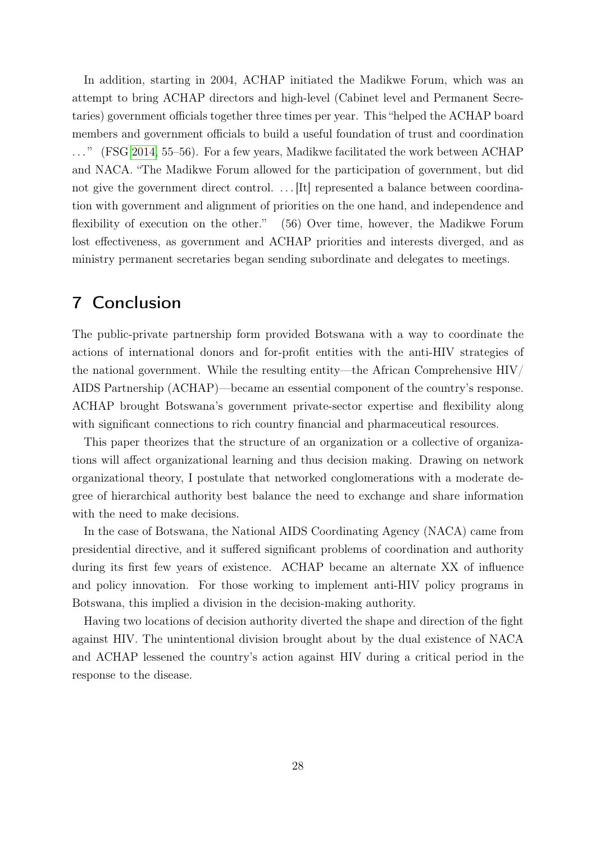In addition, starting in 2004, ACHAP initiated the Madikwe Forum, which was an attempt to bring ACHAP directors and high-level (Cabinet level and Permanent Secretaries) government officials together three times per year. This "helped the ACHAP board members and government officials to build a useful foundation of trust and coordination . . . " (FSG [2014,](#page-29-12) 55–56). For a few years, Madikwe facilitated the work between ACHAP and NACA. "The Madikwe Forum allowed for the participation of government, but did not give the government direct control. ... It represented a balance between coordination with government and alignment of priorities on the one hand, and independence and flexibility of execution on the other." (56) Over time, however, the Madikwe Forum lost effectiveness, as government and ACHAP priorities and interests diverged, and as ministry permanent secretaries began sending subordinate and delegates to meetings.

# 7 Conclusion

The public-private partnership form provided Botswana with a way to coordinate the actions of international donors and for-profit entities with the anti-HIV strategies of the national government. While the resulting entity—the African Comprehensive HIV/ AIDS Partnership (ACHAP)—became an essential component of the country's response. ACHAP brought Botswana's government private-sector expertise and flexibility along with significant connections to rich country financial and pharmaceutical resources.

This paper theorizes that the structure of an organization or a collective of organizations will affect organizational learning and thus decision making. Drawing on network organizational theory, I postulate that networked conglomerations with a moderate degree of hierarchical authority best balance the need to exchange and share information with the need to make decisions.

In the case of Botswana, the National AIDS Coordinating Agency (NACA) came from presidential directive, and it suffered significant problems of coordination and authority during its first few years of existence. ACHAP became an alternate XX of influence and policy innovation. For those working to implement anti-HIV policy programs in Botswana, this implied a division in the decision-making authority.

Having two locations of decision authority diverted the shape and direction of the fight against HIV. The unintentional division brought about by the dual existence of NACA and ACHAP lessened the country's action against HIV during a critical period in the response to the disease.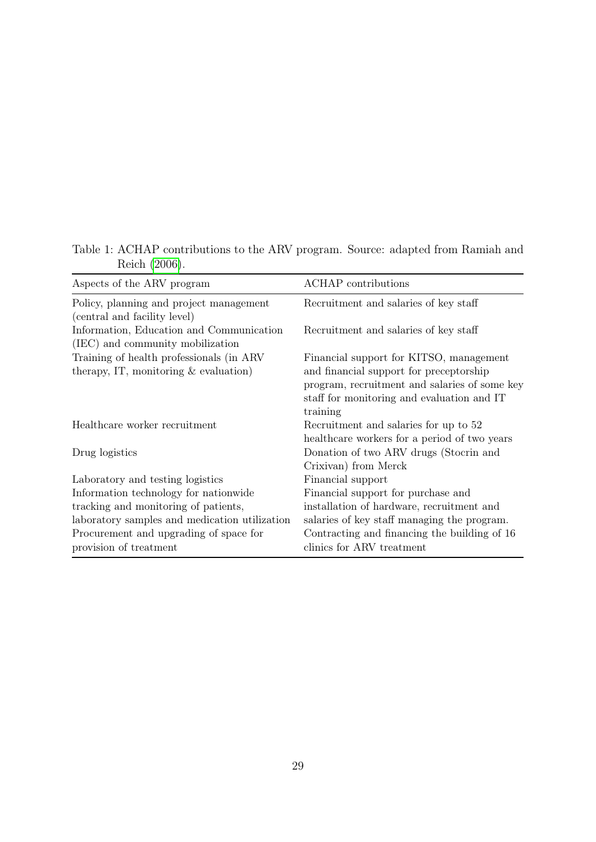| Reich (2006).                                                                        |                                                                                                   |
|--------------------------------------------------------------------------------------|---------------------------------------------------------------------------------------------------|
| Aspects of the ARV program                                                           | ACHAP contributions                                                                               |
| Policy, planning and project management<br>(central and facility level)              | Recruitment and salaries of key staff                                                             |
| Information, Education and Communication<br>(IEC) and community mobilization         | Recruitment and salaries of key staff                                                             |
| Training of health professionals (in ARV)<br>therapy, IT, monitoring $&$ evaluation) | Financial support for KITSO, management<br>and financial support for preceptorship                |
|                                                                                      | program, recruitment and salaries of some key<br>staff for monitoring and evaluation and IT       |
| Healthcare worker recruitment                                                        | training<br>Recruitment and salaries for up to 52<br>healthcare workers for a period of two years |
| Drug logistics                                                                       | Donation of two ARV drugs (Stocrin and<br>Crixivan) from Merck                                    |
| Laboratory and testing logistics                                                     | Financial support                                                                                 |
| Information technology for nationwide                                                | Financial support for purchase and                                                                |
| tracking and monitoring of patients,                                                 | installation of hardware, recruitment and                                                         |
| laboratory samples and medication utilization                                        | salaries of key staff managing the program.                                                       |
| Procurement and upgrading of space for                                               | Contracting and financing the building of 16                                                      |

clinics for ARV treatment

provision of treatment

#### <span id="page-28-0"></span>Table 1: ACHAP contributions to the ARV program. Source: adapted from Ramiah and Reich [\(2006\)](#page-30-1).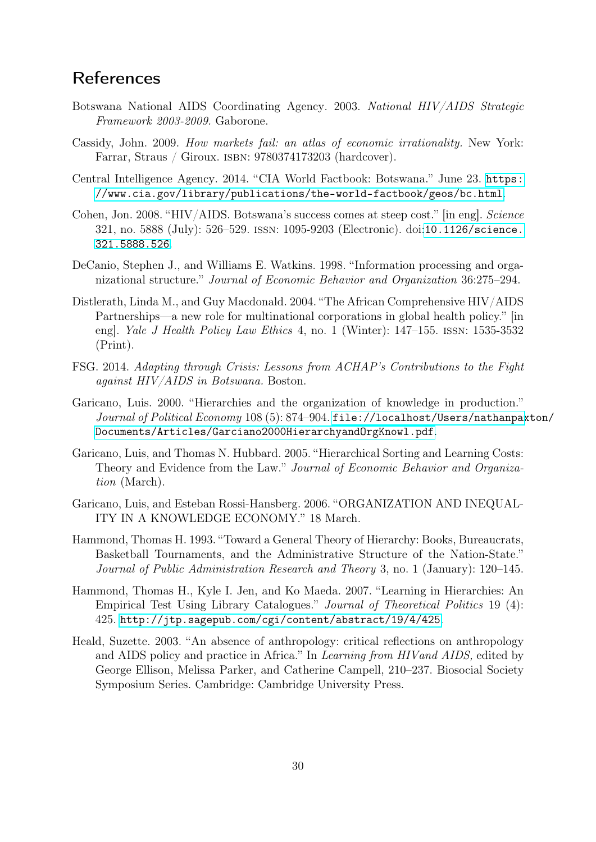# References

- <span id="page-29-11"></span>Botswana National AIDS Coordinating Agency. 2003. National HIV/AIDS Strategic Framework 2003-2009. Gaborone.
- <span id="page-29-0"></span>Cassidy, John. 2009. How markets fail: an atlas of economic irrationality. New York: Farrar, Straus / Giroux. isbn: 9780374173203 (hardcover).
- <span id="page-29-7"></span>Central Intelligence Agency. 2014. "CIA World Factbook: Botswana." June 23. [https:](https://www.cia.gov/library/publications/the-world-factbook/geos/bc.html) [//www.cia.gov/library/publications/the-world-factbook/geos/bc.html](https://www.cia.gov/library/publications/the-world-factbook/geos/bc.html).
- <span id="page-29-9"></span>Cohen, Jon. 2008. "HIV/AIDS. Botswana's success comes at steep cost." [in eng]. Science 321, no. 5888 (July): 526–529. issn: 1095-9203 (Electronic). doi:[10.1126/science.](http://dx.doi.org/10.1126/science.321.5888.526) [321.5888.526](http://dx.doi.org/10.1126/science.321.5888.526).
- <span id="page-29-1"></span>DeCanio, Stephen J., and Williams E. Watkins. 1998. "Information processing and organizational structure." Journal of Economic Behavior and Organization 36:275–294.
- <span id="page-29-10"></span>Distlerath, Linda M., and Guy Macdonald. 2004. "The African Comprehensive HIV/AIDS Partnerships—a new role for multinational corporations in global health policy." [in eng]. Yale J Health Policy Law Ethics 4, no. 1 (Winter): 147–155. issn: 1535-3532 (Print).
- <span id="page-29-12"></span>FSG. 2014. Adapting through Crisis: Lessons from ACHAP's Contributions to the Fight against HIV/AIDS in Botswana. Boston.
- <span id="page-29-2"></span>Garicano, Luis. 2000. "Hierarchies and the organization of knowledge in production." Journal of Political Economy 108 (5): 874–904. [file://localhost/Users/nathanpax](file://localhost/Users/nathanpaxton/Documents/Articles/Garciano2000HierarchyandOrgKnowl.pdf)ton/ [Documents/Articles/Garciano2000HierarchyandOrgKnowl.pdf](file://localhost/Users/nathanpaxton/Documents/Articles/Garciano2000HierarchyandOrgKnowl.pdf).
- <span id="page-29-3"></span>Garicano, Luis, and Thomas N. Hubbard. 2005. "Hierarchical Sorting and Learning Costs: Theory and Evidence from the Law." Journal of Economic Behavior and Organization (March).
- <span id="page-29-4"></span>Garicano, Luis, and Esteban Rossi-Hansberg. 2006. "ORGANIZATION AND INEQUAL-ITY IN A KNOWLEDGE ECONOMY." 18 March.
- <span id="page-29-5"></span>Hammond, Thomas H. 1993. "Toward a General Theory of Hierarchy: Books, Bureaucrats, Basketball Tournaments, and the Administrative Structure of the Nation-State." Journal of Public Administration Research and Theory 3, no. 1 (January): 120–145.
- <span id="page-29-6"></span>Hammond, Thomas H., Kyle I. Jen, and Ko Maeda. 2007. "Learning in Hierarchies: An Empirical Test Using Library Catalogues." Journal of Theoretical Politics 19 (4): 425. <http://jtp.sagepub.com/cgi/content/abstract/19/4/425>.
- <span id="page-29-8"></span>Heald, Suzette. 2003. "An absence of anthropology: critical reflections on anthropology and AIDS policy and practice in Africa." In Learning from HIVand AIDS, edited by George Ellison, Melissa Parker, and Catherine Campell, 210–237. Biosocial Society Symposium Series. Cambridge: Cambridge University Press.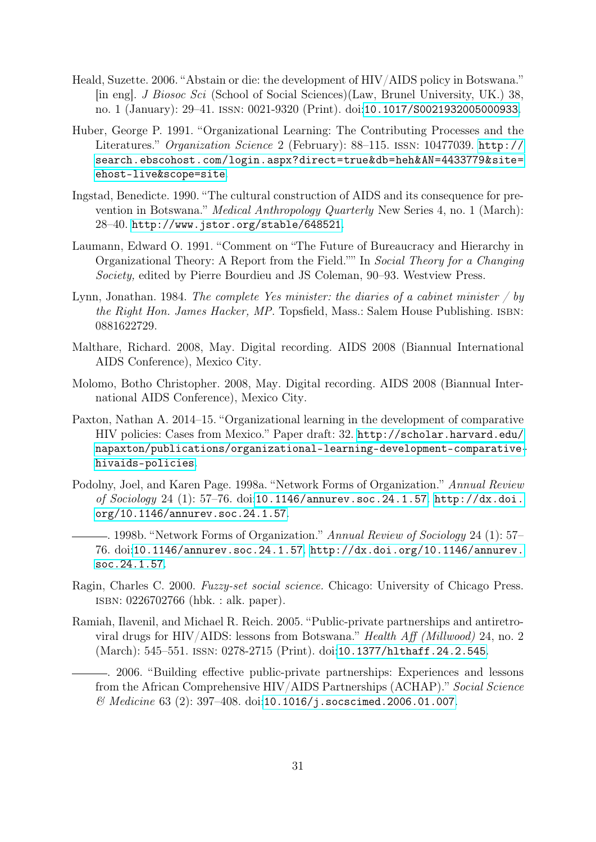- <span id="page-30-7"></span>Heald, Suzette. 2006. "Abstain or die: the development of HIV/AIDS policy in Botswana." [in eng]. J Biosoc Sci (School of Social Sciences)(Law, Brunel University, UK.) 38, no. 1 (January): 29–41. issn: 0021-9320 (Print). doi:[10.1017/S0021932005000933](http://dx.doi.org/10.1017/S0021932005000933).
- <span id="page-30-9"></span>Huber, George P. 1991. "Organizational Learning: The Contributing Processes and the Literatures." Organization Science 2 (February): 88–115. issn: 10477039. [http://](http://search.ebscohost.com/login.aspx?direct=true&db=heh&AN=4433779&site=ehost-live&scope=site) [search.ebscohost.com/login.aspx?direct=true&db=heh&AN=4433779&site=](http://search.ebscohost.com/login.aspx?direct=true&db=heh&AN=4433779&site=ehost-live&scope=site) [ehost-live&scope=site](http://search.ebscohost.com/login.aspx?direct=true&db=heh&AN=4433779&site=ehost-live&scope=site).
- <span id="page-30-8"></span>Ingstad, Benedicte. 1990. "The cultural construction of AIDS and its consequence for prevention in Botswana." Medical Anthropology Quarterly New Series 4, no. 1 (March): 28–40. <http://www.jstor.org/stable/648521>.
- <span id="page-30-4"></span>Laumann, Edward O. 1991. "Comment on "The Future of Bureaucracy and Hierarchy in Organizational Theory: A Report from the Field."" In Social Theory for a Changing Society, edited by Pierre Bourdieu and JS Coleman, 90–93. Westview Press.
- <span id="page-30-0"></span>Lynn, Jonathan. 1984. The complete Yes minister: the diaries of a cabinet minister  $\frac{1}{y}$  by the Right Hon. James Hacker, MP. Topsfield, Mass.: Salem House Publishing. ISBN: 0881622729.
- <span id="page-30-11"></span>Malthare, Richard. 2008, May. Digital recording. AIDS 2008 (Biannual International AIDS Conference), Mexico City.
- <span id="page-30-10"></span>Molomo, Botho Christopher. 2008, May. Digital recording. AIDS 2008 (Biannual International AIDS Conference), Mexico City.
- <span id="page-30-2"></span>Paxton, Nathan A. 2014–15. "Organizational learning in the development of comparative HIV policies: Cases from Mexico." Paper draft: 32. [http://scholar.harvard.edu/](http://scholar.harvard.edu/napaxton/publications/organizational-learning-development-comparative-hivaids-policies) [napaxton/publications/organizational-learning-development-comparative](http://scholar.harvard.edu/napaxton/publications/organizational-learning-development-comparative-hivaids-policies)[hivaids-policies](http://scholar.harvard.edu/napaxton/publications/organizational-learning-development-comparative-hivaids-policies).
- <span id="page-30-3"></span>Podolny, Joel, and Karen Page. 1998a. "Network Forms of Organization." Annual Review of Sociology 24 (1): 57–76. doi:[10.1146/annurev.soc.24.1.57](http://dx.doi.org/10.1146/annurev.soc.24.1.57). [http://dx.doi.](http://dx.doi.org/10.1146/annurev.soc.24.1.57) [org/10.1146/annurev.soc.24.1.57](http://dx.doi.org/10.1146/annurev.soc.24.1.57).
- <span id="page-30-6"></span>. 1998b. "Network Forms of Organization." Annual Review of Sociology 24 (1): 57– 76. doi:[10.1146/annurev.soc.24.1.57](http://dx.doi.org/10.1146/annurev.soc.24.1.57). [http://dx.doi.org/10.1146/annurev.](http://dx.doi.org/10.1146/annurev.soc.24.1.57) [soc.24.1.57](http://dx.doi.org/10.1146/annurev.soc.24.1.57).
- <span id="page-30-5"></span>Ragin, Charles C. 2000. Fuzzy-set social science. Chicago: University of Chicago Press. isbn: 0226702766 (hbk. : alk. paper).
- <span id="page-30-12"></span><span id="page-30-1"></span>Ramiah, Ilavenil, and Michael R. Reich. 2005. "Public-private partnerships and antiretroviral drugs for HIV/AIDS: lessons from Botswana." Health Aff (Millwood) 24, no. 2 (March): 545–551. issn: 0278-2715 (Print). doi:[10.1377/hlthaff.24.2.545](http://dx.doi.org/10.1377/hlthaff.24.2.545).
	- . 2006. "Building effective public-private partnerships: Experiences and lessons from the African Comprehensive HIV/AIDS Partnerships (ACHAP)." Social Science & Medicine 63 (2): 397–408. doi:[10.1016/j.socscimed.2006.01.007](http://dx.doi.org/10.1016/j.socscimed.2006.01.007).